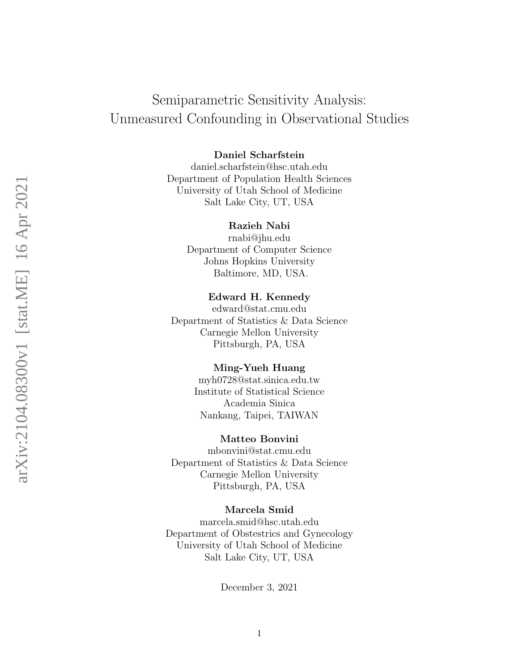# Semiparametric Sensitivity Analysis: Unmeasured Confounding in Observational Studies

Daniel Scharfstein

daniel.scharfstein@hsc.utah.edu Department of Population Health Sciences University of Utah School of Medicine Salt Lake City, UT, USA

### Razieh Nabi

rnabi@jhu.edu Department of Computer Science Johns Hopkins University Baltimore, MD, USA.

# Edward H. Kennedy

edward@stat.cmu.edu Department of Statistics & Data Science Carnegie Mellon University Pittsburgh, PA, USA

### Ming-Yueh Huang

myh0728@stat.sinica.edu.tw Institute of Statistical Science Academia Sinica Nankang, Taipei, TAIWAN

### Matteo Bonvini

mbonvini@stat.cmu.edu Department of Statistics & Data Science Carnegie Mellon University Pittsburgh, PA, USA

### Marcela Smid

marcela.smid@hsc.utah.edu Department of Obstestrics and Gynecology University of Utah School of Medicine Salt Lake City, UT, USA

December 3, 2021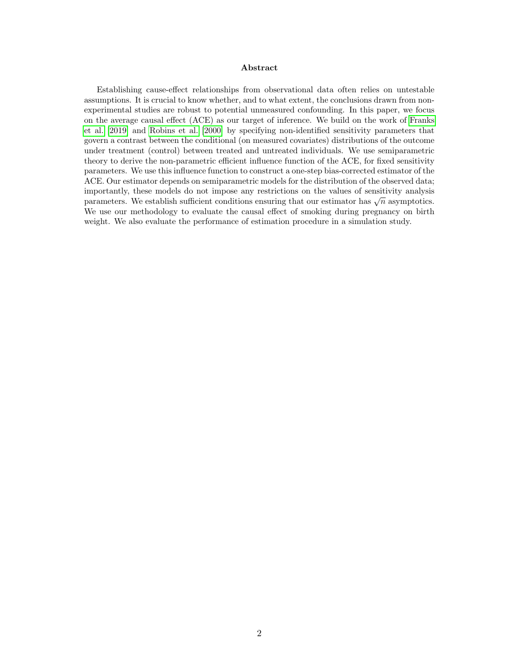#### Abstract

Establishing cause-effect relationships from observational data often relies on untestable assumptions. It is crucial to know whether, and to what extent, the conclusions drawn from nonexperimental studies are robust to potential unmeasured confounding. In this paper, we focus on the average causal effect (ACE) as our target of inference. We build on the work of [Franks](#page-22-0) [et al. \[2019\]](#page-22-0) and [Robins et al. \[2000\]](#page-24-0) by specifying non-identified sensitivity parameters that govern a contrast between the conditional (on measured covariates) distributions of the outcome under treatment (control) between treated and untreated individuals. We use semiparametric theory to derive the non-parametric efficient influence function of the ACE, for fixed sensitivity parameters. We use this influence function to construct a one-step bias-corrected estimator of the ACE. Our estimator depends on semiparametric models for the distribution of the observed data; importantly, these models do not impose any restrictions on the values of sensitivity analysis miportantly, these models do not impose any restrictions on the values of sensitivity analysis parameters. We establish sufficient conditions ensuring that our estimator has  $\sqrt{n}$  asymptotics. We use our methodology to evaluate the causal effect of smoking during pregnancy on birth weight. We also evaluate the performance of estimation procedure in a simulation study.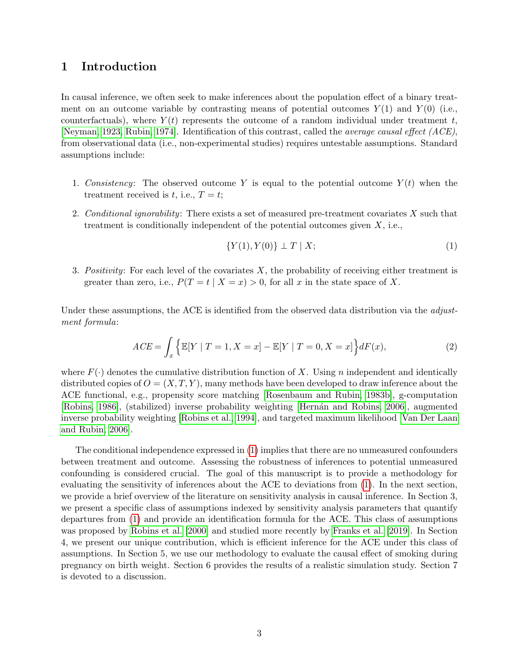# 1 Introduction

In causal inference, we often seek to make inferences about the population effect of a binary treatment on an outcome variable by contrasting means of potential outcomes  $Y(1)$  and  $Y(0)$  (i.e., counterfactuals), where  $Y(t)$  represents the outcome of a random individual under treatment t, [\[Neyman, 1923,](#page-23-0) [Rubin, 1974\]](#page-24-1). Identification of this contrast, called the average causal effect (ACE), from observational data (i.e., non-experimental studies) requires untestable assumptions. Standard assumptions include:

- 1. Consistency: The observed outcome Y is equal to the potential outcome  $Y(t)$  when the treatment received is t, i.e.,  $T = t$ ;
- 2. Conditional ignorability: There exists a set of measured pre-treatment covariates  $X$  such that treatment is conditionally independent of the potential outcomes given  $X$ , i.e.,

<span id="page-2-1"></span><span id="page-2-0"></span>
$$
\{Y(1), Y(0)\} \perp T \mid X;\tag{1}
$$

3. Positivity: For each level of the covariates  $X$ , the probability of receiving either treatment is greater than zero, i.e.,  $P(T = t | X = x) > 0$ , for all x in the state space of X.

Under these assumptions, the ACE is identified from the observed data distribution via the *adjust*ment formula:

$$
ACE = \int_{x} \left\{ \mathbb{E}[Y | T = 1, X = x] - \mathbb{E}[Y | T = 0, X = x] \right\} dF(x), \tag{2}
$$

where  $F(\cdot)$  denotes the cumulative distribution function of X. Using n independent and identically distributed copies of  $O = (X, T, Y)$ , many methods have been developed to draw inference about the ACE functional, e.g., propensity score matching [\[Rosenbaum and Rubin, 1983b\]](#page-24-2), g-computation [\[Robins, 1986\]](#page-23-1), (stabilized) inverse probability weighting [Hernán and Robins, 2006], augmented inverse probability weighting [\[Robins et al., 1994\]](#page-24-3), and targeted maximum likelihood [\[Van Der Laan](#page-24-4) [and Rubin, 2006\]](#page-24-4).

The conditional independence expressed in [\(1\)](#page-2-0) implies that there are no unmeasured confounders between treatment and outcome. Assessing the robustness of inferences to potential unmeasured confounding is considered crucial. The goal of this manuscript is to provide a methodology for evaluating the sensitivity of inferences about the ACE to deviations from [\(1\)](#page-2-0). In the next section, we provide a brief overview of the literature on sensitivity analysis in causal inference. In Section 3, we present a specific class of assumptions indexed by sensitivity analysis parameters that quantify departures from [\(1\)](#page-2-0) and provide an identification formula for the ACE. This class of assumptions was proposed by [Robins et al. \[2000\]](#page-24-0) and studied more recently by [Franks et al. \[2019\]](#page-22-0). In Section 4, we present our unique contribution, which is efficient inference for the ACE under this class of assumptions. In Section 5, we use our methodology to evaluate the causal effect of smoking during pregnancy on birth weight. Section 6 provides the results of a realistic simulation study. Section 7 is devoted to a discussion.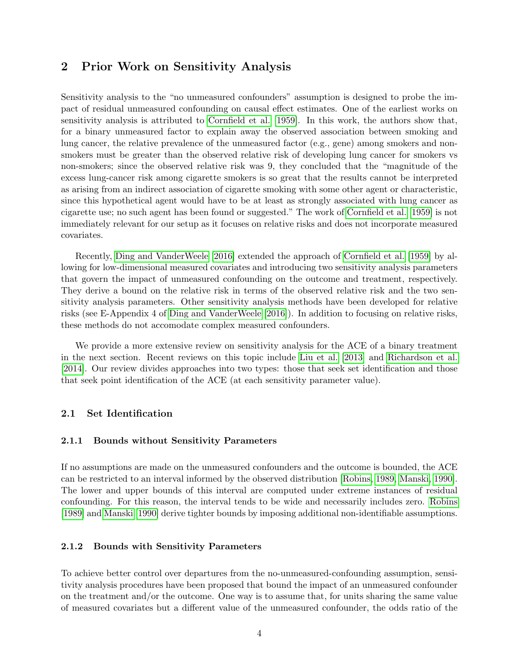# 2 Prior Work on Sensitivity Analysis

Sensitivity analysis to the "no unmeasured confounders" assumption is designed to probe the impact of residual unmeasured confounding on causal effect estimates. One of the earliest works on sensitivity analysis is attributed to [Cornfield et al. \[1959\]](#page-21-0). In this work, the authors show that, for a binary unmeasured factor to explain away the observed association between smoking and lung cancer, the relative prevalence of the unmeasured factor (e.g., gene) among smokers and nonsmokers must be greater than the observed relative risk of developing lung cancer for smokers vs non-smokers; since the observed relative risk was 9, they concluded that the "magnitude of the excess lung-cancer risk among cigarette smokers is so great that the results cannot be interpreted as arising from an indirect association of cigarette smoking with some other agent or characteristic, since this hypothetical agent would have to be at least as strongly associated with lung cancer as cigarette use; no such agent has been found or suggested." The work of [Cornfield et al. \[1959\]](#page-21-0) is not immediately relevant for our setup as it focuses on relative risks and does not incorporate measured covariates.

Recently, [Ding and VanderWeele \[2016\]](#page-22-2) extended the approach of [Cornfield et al. \[1959\]](#page-21-0) by allowing for low-dimensional measured covariates and introducing two sensitivity analysis parameters that govern the impact of unmeasured confounding on the outcome and treatment, respectively. They derive a bound on the relative risk in terms of the observed relative risk and the two sensitivity analysis parameters. Other sensitivity analysis methods have been developed for relative risks (see E-Appendix 4 of [Ding and VanderWeele \[2016\]](#page-22-2)). In addition to focusing on relative risks, these methods do not accomodate complex measured confounders.

We provide a more extensive review on sensitivity analysis for the ACE of a binary treatment in the next section. Recent reviews on this topic include [Liu et al. \[2013\]](#page-23-2) and [Richardson et al.](#page-23-3) [\[2014\]](#page-23-3). Our review divides approaches into two types: those that seek set identification and those that seek point identification of the ACE (at each sensitivity parameter value).

# 2.1 Set Identification

### 2.1.1 Bounds without Sensitivity Parameters

If no assumptions are made on the unmeasured confounders and the outcome is bounded, the ACE can be restricted to an interval informed by the observed distribution [\[Robins, 1989,](#page-23-4) [Manski, 1990\]](#page-23-5). The lower and upper bounds of this interval are computed under extreme instances of residual confounding. For this reason, the interval tends to be wide and necessarily includes zero. [Robins](#page-23-4) [\[1989\]](#page-23-4) and [Manski \[1990\]](#page-23-5) derive tighter bounds by imposing additional non-identifiable assumptions.

### 2.1.2 Bounds with Sensitivity Parameters

To achieve better control over departures from the no-unmeasured-confounding assumption, sensitivity analysis procedures have been proposed that bound the impact of an unmeasured confounder on the treatment and/or the outcome. One way is to assume that, for units sharing the same value of measured covariates but a different value of the unmeasured confounder, the odds ratio of the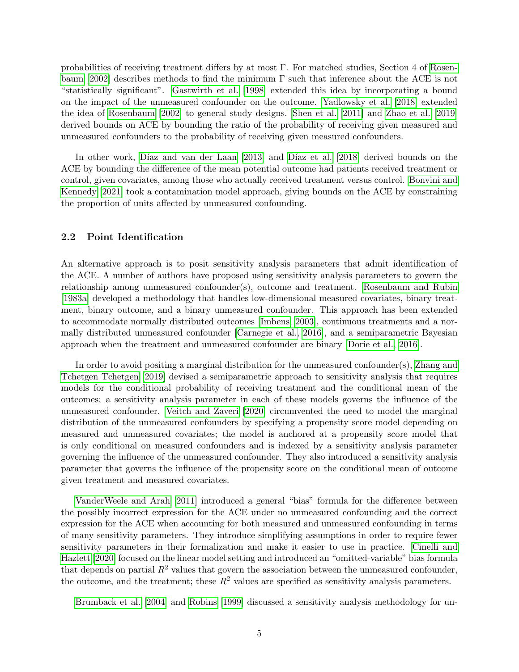probabilities of receiving treatment differs by at most Γ. For matched studies, Section 4 of [Rosen](#page-24-5)[baum \[2002\]](#page-24-5) describes methods to find the minimum  $\Gamma$  such that inference about the ACE is not "statistically significant". [Gastwirth et al. \[1998\]](#page-22-3) extended this idea by incorporating a bound on the impact of the unmeasured confounder on the outcome. [Yadlowsky et al. \[2018\]](#page-25-0) extended the idea of [Rosenbaum \[2002\]](#page-24-5) to general study designs. [Shen et al. \[2011\]](#page-24-6) and [Zhao et al. \[2019\]](#page-25-1) derived bounds on ACE by bounding the ratio of the probability of receiving given measured and unmeasured confounders to the probability of receiving given measured confounders.

In other work, Díaz and van der Laan [2013] and Díaz et al. [2018] derived bounds on the ACE by bounding the difference of the mean potential outcome had patients received treatment or control, given covariates, among those who actually received treatment versus control. [Bonvini and](#page-21-1) [Kennedy \[2021\]](#page-21-1) took a contamination model approach, giving bounds on the ACE by constraining the proportion of units affected by unmeasured confounding.

### 2.2 Point Identification

An alternative approach is to posit sensitivity analysis parameters that admit identification of the ACE. A number of authors have proposed using sensitivity analysis parameters to govern the relationship among unmeasured confounder(s), outcome and treatment. [Rosenbaum and Rubin](#page-24-7) [\[1983a\]](#page-24-7) developed a methodology that handles low-dimensional measured covariates, binary treatment, binary outcome, and a binary unmeasured confounder. This approach has been extended to accommodate normally distributed outcomes [\[Imbens, 2003\]](#page-22-6), continuous treatments and a normally distributed unmeasured confounder [\[Carnegie et al., 2016\]](#page-21-2), and a semiparametric Bayesian approach when the treatment and unmeasured confounder are binary [\[Dorie et al., 2016\]](#page-22-7).

In order to avoid positing a marginal distribution for the unmeasured confounder(s), [Zhang and](#page-25-2) [Tchetgen Tchetgen \[2019\]](#page-25-2) devised a semiparametric approach to sensitivity analysis that requires models for the conditional probability of receiving treatment and the conditional mean of the outcomes; a sensitivity analysis parameter in each of these models governs the influence of the unmeasured confounder. [Veitch and Zaveri \[2020\]](#page-24-8) circumvented the need to model the marginal distribution of the unmeasured confounders by specifying a propensity score model depending on measured and unmeasured covariates; the model is anchored at a propensity score model that is only conditional on measured confounders and is indexed by a sensitivity analysis parameter governing the influence of the unmeasured confounder. They also introduced a sensitivity analysis parameter that governs the influence of the propensity score on the conditional mean of outcome given treatment and measured covariates.

[VanderWeele and Arah \[2011\]](#page-24-9) introduced a general "bias" formula for the difference between the possibly incorrect expression for the ACE under no unmeasured confounding and the correct expression for the ACE when accounting for both measured and unmeasured confounding in terms of many sensitivity parameters. They introduce simplifying assumptions in order to require fewer sensitivity parameters in their formalization and make it easier to use in practice. [Cinelli and](#page-21-3) [Hazlett \[2020\]](#page-21-3) focused on the linear model setting and introduced an "omitted-variable" bias formula that depends on partial  $R^2$  values that govern the association between the unmeasured confounder, the outcome, and the treatment; these  $R^2$  values are specified as sensitivity analysis parameters.

[Brumback et al. \[2004\]](#page-21-4) and [Robins \[1999\]](#page-23-6) discussed a sensitivity analysis methodology for un-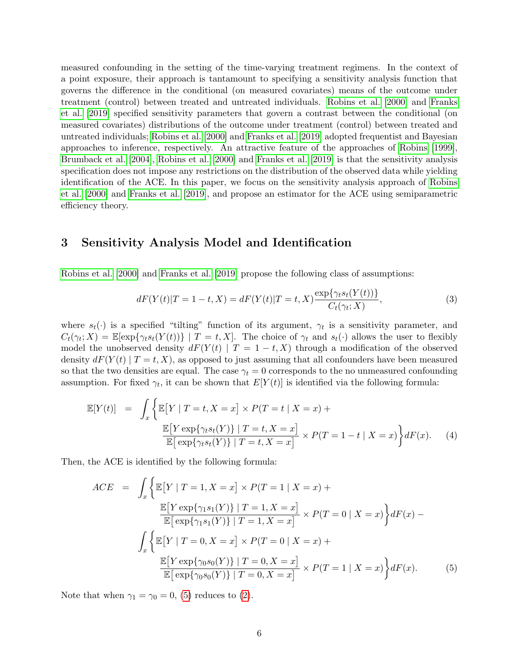measured confounding in the setting of the time-varying treatment regimens. In the context of a point exposure, their approach is tantamount to specifying a sensitivity analysis function that governs the difference in the conditional (on measured covariates) means of the outcome under treatment (control) between treated and untreated individuals. [Robins et al. \[2000\]](#page-24-0) and [Franks](#page-22-0) [et al. \[2019\]](#page-22-0) specified sensitivity parameters that govern a contrast between the conditional (on measured covariates) distributions of the outcome under treatment (control) between treated and untreated individuals; [Robins et al. \[2000\]](#page-24-0) and [Franks et al. \[2019\]](#page-22-0) adopted frequentist and Bayesian approaches to inference, respectively. An attractive feature of the approaches of [Robins \[1999\]](#page-23-6), [Brumback et al. \[2004\]](#page-21-4), [Robins et al. \[2000\]](#page-24-0) and [Franks et al. \[2019\]](#page-22-0) is that the sensitivity analysis specification does not impose any restrictions on the distribution of the observed data while yielding identification of the ACE. In this paper, we focus on the sensitivity analysis approach of [Robins](#page-24-0) [et al. \[2000\]](#page-24-0) and [Franks et al. \[2019\]](#page-22-0), and propose an estimator for the ACE using semiparametric efficiency theory.

# 3 Sensitivity Analysis Model and Identification

[Robins et al. \[2000\]](#page-24-0) and [Franks et al. \[2019\]](#page-22-0) propose the following class of assumptions:

<span id="page-5-1"></span>
$$
dF(Y(t)|T = 1 - t, X) = dF(Y(t)|T = t, X)\frac{\exp{\{\gamma_t s_t(Y(t))\}}}{C_t(\gamma_t; X)},
$$
\n(3)

where  $s_t(\cdot)$  is a specified "tilting" function of its argument,  $\gamma_t$  is a sensitivity parameter, and  $C_t(\gamma_t; X) = \mathbb{E}[\exp{\gamma_t s_t(Y(t))}] | T = t, X].$  The choice of  $\gamma_t$  and  $s_t(\cdot)$  allows the user to flexibly model the unobserved density  $dF(Y(t) | T = 1 - t, X)$  through a modification of the observed density  $dF(Y(t) | T = t, X)$ , as opposed to just assuming that all confounders have been measured so that the two densities are equal. The case  $\gamma_t = 0$  corresponds to the no unmeasured confounding assumption. For fixed  $\gamma_t$ , it can be shown that  $E[Y(t)]$  is identified via the following formula:

<span id="page-5-2"></span>
$$
\mathbb{E}[Y(t)] = \int_x \left\{ \mathbb{E}[Y | T = t, X = x] \times P(T = t | X = x) + \frac{\mathbb{E}[Y \exp{\gamma_t s_t(Y)}] | T = t, X = x]}{\mathbb{E}[\exp{\gamma_t s_t(Y)} | T = t, X = x]} \times P(T = 1 - t | X = x) \right\} dF(x).
$$
 (4)

Then, the ACE is identified by the following formula:

<span id="page-5-0"></span>
$$
ACE = \int_{x} \left\{ \mathbb{E}[Y | T = 1, X = x] \times P(T = 1 | X = x) + \frac{\mathbb{E}[Y \exp{\gamma_1 s_1(Y)}] | T = 1, X = x]}{\mathbb{E}[\exp{\gamma_1 s_1(Y)} | T = 1, X = x]} \times P(T = 0 | X = x) \right\} dF(x) - \int_{x} \left\{ \mathbb{E}[Y | T = 0, X = x] \times P(T = 0 | X = x) + \frac{\mathbb{E}[Y \exp{\gamma_0 s_0(Y)} | T = 0, X = x]}{\mathbb{E}[\exp{\gamma_0 s_0(Y)} | T = 0, X = x]} \times P(T = 1 | X = x) \right\} dF(x).
$$
 (5)

Note that when  $\gamma_1 = \gamma_0 = 0$ , [\(5\)](#page-5-0) reduces to [\(2\)](#page-2-1).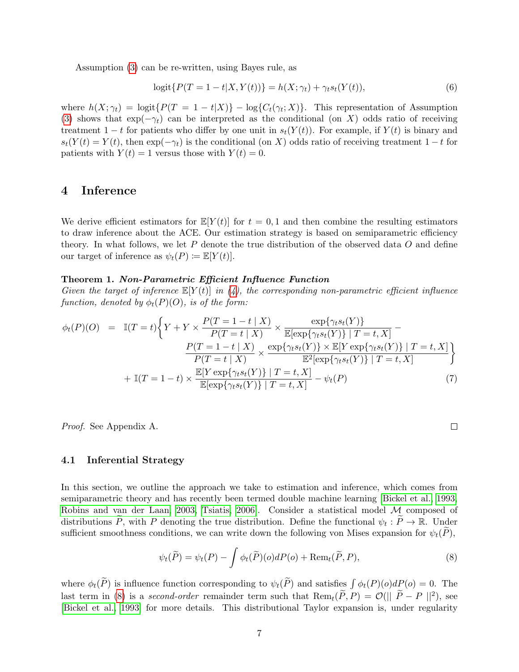Assumption [\(3\)](#page-5-1) can be re-written, using Bayes rule, as

$$
logit\{P(T = 1 - t|X, Y(t))\} = h(X; \gamma_t) + \gamma_t s_t(Y(t)),
$$
\n(6)

where  $h(X; \gamma_t) = \text{logit}\{P(T = 1 - t|X)\} - \text{log}\{C_t(\gamma_t; X)\}.$  This representation of Assumption [\(3\)](#page-5-1) shows that  $\exp(-\gamma_t)$  can be interpreted as the conditional (on X) odds ratio of receiving treatment 1 − t for patients who differ by one unit in  $s_t(Y(t))$ . For example, if  $Y(t)$  is binary and  $s_t(Y(t) = Y(t)$ , then  $\exp(-\gamma_t)$  is the conditional (on X) odds ratio of receiving treatment 1 – t for patients with  $Y(t) = 1$  versus those with  $Y(t) = 0$ .

# 4 Inference

We derive efficient estimators for  $\mathbb{E}[Y(t)]$  for  $t = 0, 1$  and then combine the resulting estimators to draw inference about the ACE. Our estimation strategy is based on semiparametric efficiency theory. In what follows, we let  $P$  denote the true distribution of the observed data  $O$  and define our target of inference as  $\psi_t(P) \coloneqq \mathbb{E}[Y(t)].$ 

#### Theorem 1. Non-Parametric Efficient Influence Function

Given the target of inference  $\mathbb{E}[Y(t)]$  in [\(4\)](#page-5-2), the corresponding non-parametric efficient influence function, denoted by  $\phi_t(P)(O)$ , is of the form:

<span id="page-6-1"></span>
$$
\phi_t(P)(O) = \mathbb{I}(T = t) \left\{ Y + Y \times \frac{P(T = 1 - t | X)}{P(T = t | X)} \times \frac{\exp{\{\gamma_t s_t(Y)\}}}{\mathbb{E}[\exp{\{\gamma_t s_t(Y)\}} | T = t, X]} - \frac{P(T = 1 - t | X)}{P(T = t | X)} \times \frac{\exp{\{\gamma_t s_t(Y)\}} \times \mathbb{E}[Y \exp{\{\gamma_t s_t(Y)\}} | T = t, X]}{\mathbb{E}^2[\exp{\{\gamma_t s_t(Y)\}} | T = t, X]} \right\}
$$

$$
+ \mathbb{I}(T = 1 - t) \times \frac{\mathbb{E}[Y \exp{\{\gamma_t s_t(Y)\}} | T = t, X]}{\mathbb{E}[\exp{\{\gamma_t s_t(Y)\}} | T = t, X]} - \psi_t(P) \tag{7}
$$

Proof. See Appendix A.

#### 4.1 Inferential Strategy

In this section, we outline the approach we take to estimation and inference, which comes from semiparametric theory and has recently been termed double machine learning [\[Bickel et al., 1993,](#page-21-5) [Robins and van der Laan, 2003,](#page-23-7) [Tsiatis, 2006\]](#page-24-10). Consider a statistical model M composed of distributions  $\widetilde{P}$ , with P denoting the true distribution. Define the functional  $\psi_t : \widetilde{P} \to \mathbb{R}$ . Under sufficient smoothness conditions, we can write down the following von Mises expansion for  $\psi_t(\overline{P})$ ,

$$
\psi_t(\widetilde{P}) = \psi_t(P) - \int \phi_t(\widetilde{P})(o) dP(o) + \text{Rem}_t(\widetilde{P}, P), \tag{8}
$$

where  $\phi_t(\tilde{P})$  is influence function corresponding to  $\psi_t(\tilde{P})$  and satisfies  $\int \phi_t(P)(o) dP(o) = 0$ . The last term in [\(8\)](#page-6-0) is a second-order remainder term such that  $\text{Rem}_t(\tilde{P}, P) = \mathcal{O}(|\tilde{P} - P||^2)$ , see [\[Bickel et al., 1993\]](#page-21-5) for more details. This distributional Taylor expansion is, under regularity

<span id="page-6-0"></span>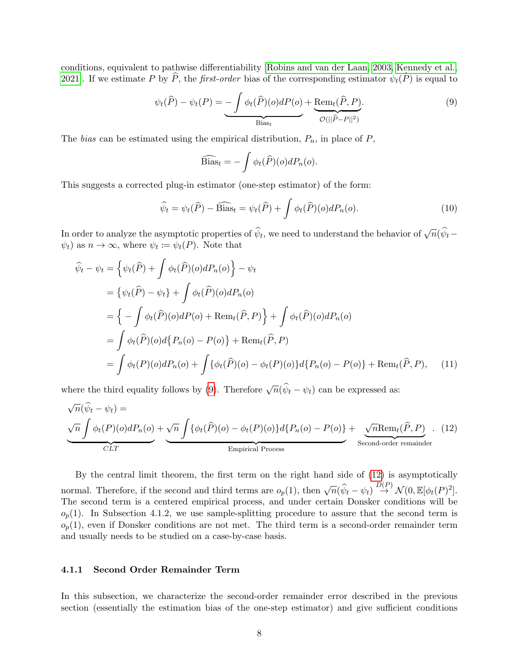conditions, equivalent to pathwise differentiability [\[Robins and van der Laan, 2003,](#page-23-7) [Kennedy et al.,](#page-23-8) [2021\]](#page-23-8). If we estimate P by  $\widehat{P}$ , the *first-order* bias of the corresponding estimator  $\psi_t(\widehat{P})$  is equal to

$$
\psi_t(\widehat{P}) - \psi_t(P) = \underbrace{-\int \phi_t(\widehat{P})(o)dP(o)}_{\text{Bias}_{t}} + \underbrace{\text{Rem}_t(\widehat{P}, P)}_{\mathcal{O}(||\widehat{P} - P||^2)}.
$$
\n(9)

The bias can be estimated using the empirical distribution,  $P_n$ , in place of  $P$ ,

<span id="page-7-0"></span>
$$
\widehat{\text{Bias}}_t = -\int \phi_t(\widehat{P})(o) dP_n(o).
$$

This suggests a corrected plug-in estimator (one-step estimator) of the form:

<span id="page-7-1"></span>
$$
\widehat{\psi}_t = \psi_t(\widehat{P}) - \widehat{\text{Bias}}_t = \psi_t(\widehat{P}) + \int \phi_t(\widehat{P})(o) dP_n(o). \tag{10}
$$

In order to analyze the asymptotic properties of  $\hat{\psi}_t$ , we need to understand the behavior of  $\sqrt{n}(\hat{\psi}_t - \hat{\psi}_t)$  $\psi_t$ ) as  $n \to \infty$ , where  $\psi_t := \psi_t(P)$ . Note that

$$
\hat{\psi}_t - \psi_t = \left\{ \psi_t(\hat{P}) + \int \phi_t(\hat{P})(o)dP_n(o) \right\} - \psi_t
$$
\n
$$
= \left\{ \psi_t(\hat{P}) - \psi_t \right\} + \int \phi_t(\hat{P})(o)dP_n(o)
$$
\n
$$
= \left\{ - \int \phi_t(\hat{P})(o)dP(o) + \text{Rem}_t(\hat{P}, P) \right\} + \int \phi_t(\hat{P})(o)dP_n(o)
$$
\n
$$
= \int \phi_t(\hat{P})(o)d\left\{ P_n(o) - P(o) \right\} + \text{Rem}_t(\hat{P}, P)
$$
\n
$$
= \int \phi_t(P)(o)dP_n(o) + \int \{\phi_t(\hat{P})(o) - \phi_t(P)(o)\}d\left\{ P_n(o) - P(o) \right\} + \text{Rem}_t(\hat{P}, P), \quad (11)
$$

where the third equality follows by [\(9\)](#page-7-0). Therefore  $\sqrt{n}(\hat{\psi}_t - \psi_t)$  can be expressed as:

$$
\underbrace{\sqrt{n}(\hat{\psi}_t - \psi_t)}_{CLT} = \underbrace{\sqrt{n} \int \phi_t(P)(o) dP_n(o)}_{CLT} + \underbrace{\sqrt{n} \int \{\phi_t(\hat{P})(o) - \phi_t(P)(o)\} d\{P_n(o) - P(o)\}}_{Empirical Process} + \underbrace{\sqrt{n} \text{Rem}_t(\hat{P}, P)}_{\text{Second-order remainder}}.
$$
 (12)

By the central limit theorem, the first term on the right hand side of [\(12\)](#page-7-1) is asymptotically normal. Therefore, if the second and third terms are  $o_p(1)$ , then  $\sqrt{n}(\hat{\psi}_t - \psi_t) \stackrel{D(P)}{\rightarrow} \mathcal{N}(0, \mathbb{E}[\phi_t(P)^2])$ . The second term is a centered empirical process, and under certain Donsker conditions will be  $o_p(1)$ . In Subsection 4.1.2, we use sample-splitting procedure to assure that the second term is  $o_p(1)$ , even if Donsker conditions are not met. The third term is a second-order remainder term and usually needs to be studied on a case-by-case basis.

### 4.1.1 Second Order Remainder Term

In this subsection, we characterize the second-order remainder error described in the previous section (essentially the estimation bias of the one-step estimator) and give sufficient conditions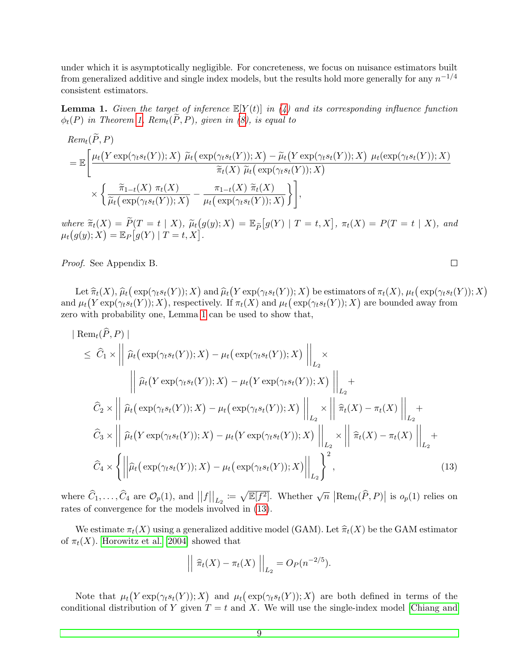under which it is asymptotically negligible. For concreteness, we focus on nuisance estimators built from generalized additive and single index models, but the results hold more generally for any  $n^{-1/4}$ consistent estimators.

<span id="page-8-0"></span>**Lemma 1.** Given the target of inference  $\mathbb{E}[Y(t)]$  in [\(4\)](#page-5-2) and its corresponding influence function  $\phi_t(P)$  in Theorem [1,](#page-6-1)  $Rem_t(\tilde{P}, P)$ , given in [\(8\)](#page-6-0), is equal to

$$
Rem_t(P, P)
$$
\n
$$
= \mathbb{E}\left[\frac{\mu_t(Y \exp(\gamma_t s_t(Y)); X) \ \widetilde{\mu}_t\big(\exp(\gamma_t s_t(Y)); X\big) - \widetilde{\mu}_t\big(Y \exp(\gamma_t s_t(Y)); X\big) \ \mu_t\big(\exp(\gamma_t s_t(Y)); X\big)}{\widetilde{\pi}_t(X) \ \widetilde{\mu}_t\big(\exp(\gamma_t s_t(Y)); X\big)}\right] \times \left\{\frac{\widetilde{\pi}_{1-t}(X) \ \pi_t(X)}{\widetilde{\mu}_t\big(\exp(\gamma_t s_t(Y)); X\big)} - \frac{\pi_{1-t}(X) \ \widetilde{\pi}_t(X)}{\mu_t\big(\exp(\gamma_t s_t(Y)); X\big)}\right\},
$$

where  $\widetilde{\pi}_t(X) = \widetilde{P}(T = t | X), \widetilde{\mu}_t(g(y); X) = \mathbb{E}_{\widetilde{P}}[g(Y) | T = t, X], \pi_t(X) = P(T = t | X),$  and  $\mu_t(g(y); Y) = \mathbb{E}_{\pi}[g(Y) | T = t, Y]$  $\mu_t(g(y);X) = \mathbb{E}_P[g(Y) | T = t, X].$ 

Proof. See Appendix B.

Let  $\hat{\pi}_t(X)$ ,  $\hat{\mu}_t(\exp(\gamma_t s_t(Y)); X)$  and  $\hat{\mu}_t(Y \exp(\gamma_t s_t(Y)); X)$  be estimators of  $\pi_t(X)$ ,  $\mu_t(\exp(\gamma_t s_t(Y)); X)$ <br> $\mu_t(Y \exp(\gamma_t s_t(Y)); Y)$  representingly  $\text{If } \pi(X)$  and  $\mu_t(\text{exp}(\alpha_t s_t(Y)); Y)$  are bounded surve from and  $\mu_t(Y \exp(\gamma_t s_t(Y)); X)$ , respectively. If  $\pi_t(X)$  and  $\mu_t(\exp(\gamma_t s_t(Y)); X)$  are bounded away from zero with probability one, Lemma [1](#page-8-0) can be used to show that,

$$
|\operatorname{Rem}_t(P, P)|
$$
  
\n
$$
\leq \widehat{C}_1 \times || \widehat{\mu}_t(\exp(\gamma_t s_t(Y)); X) - \mu_t(\exp(\gamma_t s_t(Y)); X) ||_{L_2}
$$
  
\n
$$
|| \widehat{\mu}_t(Y \exp(\gamma_t s_t(Y)); X) - \mu_t(Y \exp(\gamma_t s_t(Y)); X) ||_{L_2} +
$$
  
\n
$$
\widehat{C}_2 \times || \widehat{\mu}_t(\exp(\gamma_t s_t(Y)); X) - \mu_t(\exp(\gamma_t s_t(Y)); X) ||_{L_2} \times || \widehat{\pi}_t(X) - \pi_t(X) ||_{L_2} +
$$
  
\n
$$
\widehat{C}_3 \times || \widehat{\mu}_t(Y \exp(\gamma_t s_t(Y)); X) - \mu_t(Y \exp(\gamma_t s_t(Y)); X) ||_{L_2} \times || \widehat{\pi}_t(X) - \pi_t(X) ||_{L_2} +
$$
  
\n
$$
\widehat{C}_4 \times \left\{ || \widehat{\mu}_t(\exp(\gamma_t s_t(Y)); X) - \mu_t(\exp(\gamma_t s_t(Y)); X) ||_{L_2} \right\}^2,
$$
\n(13)

where  $\widehat{C}_1,\ldots,\widehat{C}_4$  are  $\mathcal{O}_p(1)$ , and  $||f||_{L_2} := \sqrt{\mathbb{E}[f^2]}$ . Whether  $\sqrt{n} |\text{Rem}_t(\widehat{P},P)|$  is  $o_p(1)$  relies on rates of convergence for the models involved in [\(13\)](#page-8-1).

We estimate  $\pi_t(X)$  using a generalized additive model (GAM). Let  $\hat{\pi}_t(X)$  be the GAM estimator of  $\pi_t(X)$ . [Horowitz et al. \[2004\]](#page-22-8) showed that

$$
\left\| \left| \hat{\pi}_t(X) - \pi_t(X) \right| \right\|_{L_2} = O_P(n^{-2/5}).
$$

Note that  $\mu_t(Y \exp(\gamma_t s_t(Y)); X)$  and  $\mu_t(\exp(\gamma_t s_t(Y)); X)$  are both defined in terms of the conditional distribution of Y given  $T = t$  and X. We will use the single-index model [\[Chiang and](#page-21-6)

<span id="page-8-1"></span> $\Box$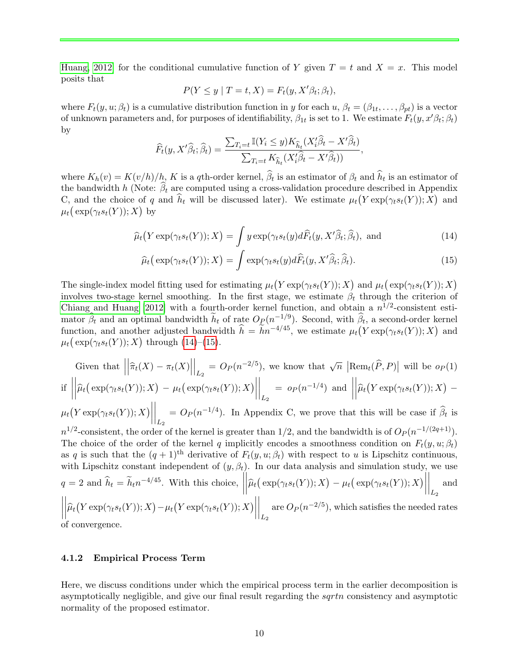[Huang, 2012\]](#page-21-6) for the conditional cumulative function of Y given  $T = t$  and  $X = x$ . This model posits that

<span id="page-9-0"></span>
$$
P(Y \le y \mid T = t, X) = F_t(y, X'\beta_t; \beta_t),
$$

where  $F_t(y, u; \beta_t)$  is a cumulative distribution function in y for each  $u, \beta_t = (\beta_{1t}, \ldots, \beta_{pt})$  is a vector of unknown parameters and, for purposes of identifiability,  $\beta_{1t}$  is set to 1. We estimate  $F_t(y, x'\beta_t; \beta_t)$ by

$$
\widehat{F}_t(y, X'\widehat{\beta}_t; \widehat{\beta}_t) = \frac{\sum_{T_i=t} \mathbb{I}(Y_i \leq y) K_{\widehat{h}_t}(X'_i \widehat{\beta}_t - X' \widehat{\beta}_t)}{\sum_{T_i=t} K_{\widehat{h}_t}(X'_i \widehat{\beta}_t - X' \widehat{\beta}_t))},
$$

where  $K_h(v) = K(v/h)/h$ , K is a qth-order kernel,  $\beta_t$  is an estimator of  $\beta_t$  and  $h_t$  is an estimator of the bandwidth h (Note:  $\beta_t$  are computed using a cross-validation procedure described in Appendix C, and the choice of q and  $\hat{h}_t$  will be discussed later). We estimate  $\mu_t(Y \exp(\gamma_t s_t(Y)); X)$  and  $\mu_t\big(\exp(\gamma_ts_t(Y));X\big)$  by

$$
\widehat{\mu}_t(Y \exp(\gamma_t s_t(Y)); X) = \int y \exp(\gamma_t s_t(y) d\widehat{F}_t(y, X'\widehat{\beta}_t; \widehat{\beta}_t), \text{ and } (14)
$$

<span id="page-9-1"></span>
$$
\widehat{\mu}_t\big(\exp(\gamma_ts_t(Y));X\big) = \int \exp(\gamma_ts_t(y)d\widehat{F}_t(y,X'\widehat{\beta}_t;\widehat{\beta}_t). \tag{15}
$$

The single-index model fitting used for estimating  $\mu_t(Y \exp(\gamma_t s_t(Y)); X)$  and  $\mu_t(\exp(\gamma_t s_t(Y)); X)$ involves two-stage kernel smoothing. In the first stage, we estimate  $\beta_t$  through the criterion of [Chiang and Huang \[2012\]](#page-21-6) with a fourth-order kernel function, and obtain a  $n^{1/2}$ -consistent estimator  $\hat{\beta}_t$  and an optimal bandwidth  $\tilde{h}_t$  of rate  $O_P(n^{-1/9})$ . Second, with  $\hat{\beta}_t$ , a second-order kernel function, and another adjusted bandwidth  $\hat{h} = \tilde{h}n^{-4/45}$ , we estimate  $\mu_t(Y \exp(\gamma_t s_t(Y)); X)$  and  $\mu_t\big(\exp(\gamma_ts_t(Y));X\big)$  through [\(14\)](#page-9-0)–[\(15\)](#page-9-1).

Given that 
$$
\left\|\hat{\pi}_t(X) - \pi_t(X)\right\|_{L_2} = O_P(n^{-2/5})
$$
, we know that  $\sqrt{n} |\text{Rem}_t(\hat{P}, P)|$  will be  $o_P(1)$   
if  $\left\|\hat{\mu}_t(\exp(\gamma_t s_t(Y)); X) - \mu_t(\exp(\gamma_t s_t(Y)); X)\right\|_{L_2} = o_P(n^{-1/4})$  and  $\left\|\hat{\mu}_t(Y \exp(\gamma_t s_t(Y)); X) - \mu_t(Y \exp(\gamma_t s_t(Y)); X)\right\|_{L_2} = O_P(n^{-1/4})$ . In Appendix C, we prove that this will be case if  $\hat{\beta}_t$  is  $n^{1/2}$ -consistent, the order of the kernel is greater than 1/2, and the bandwidth is of  $O_P(n^{-1/(2q+1)})$ .  
The choice of the order of the kernel q implicitly encodes a smoothness condition on  $F_t(y, u; \beta_t)$ 

as q is such that the  $(q + 1)$ <sup>th</sup> derivative of  $F_t(y, u; \beta_t)$  with respect to u is Lipschitz continuous, with Lipschitz constant independent of  $(y, \beta_t)$ . In our data analysis and simulation study, we use  $q = 2$  and  $\hat{h}_t = \tilde{h}_t n^{-4/45}$ . With this choice,  $\left\|\widehat{\mu}_t(Y \exp(\gamma_t s_t(Y)); X) - \mu_t(Y \exp(\gamma_t s_t(Y)); X)\right\|_{L_2}$  are  $O_P(n^{-2/5})$ , which satisfies the needed  $\left|\widehat{\mu}_t\big(\exp(\gamma_ts_t(Y));X\big)-\mu_t\big(\exp(\gamma_ts_t(Y));X\big)\right|$  $\Big|$  and  $\left|\widehat{\mu}_t(Y \exp(\gamma_t s_t(Y)); X) - \mu_t(Y \exp(\gamma_t s_t(Y)); X)\right|$  $\bigg|_{L_2}$ are  $O_P(n^{-2/5})$ , which satisfies the needed rates of convergence.

#### 4.1.2 Empirical Process Term

Here, we discuss conditions under which the empirical process term in the earlier decomposition is asymptotically negligible, and give our final result regarding the sqrtn consistency and asymptotic normality of the proposed estimator.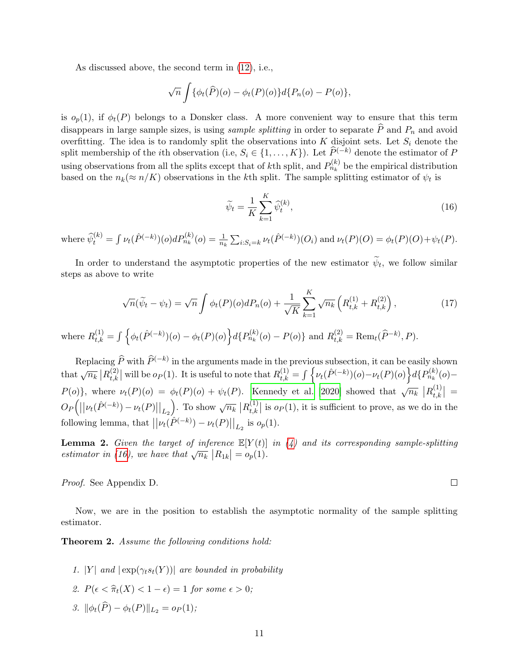As discussed above, the second term in [\(12\)](#page-7-1), i.e.,

$$
\sqrt{n}\int {\phi_t(\widehat{P})(o) - \phi_t(P)(o)}d\{P_n(o) - P(o)\},\,
$$

is  $o_p(1)$ , if  $\phi_t(P)$  belongs to a Donsker class. A more convenient way to ensure that this term disappears in large sample sizes, is using *sample splitting* in order to separate  $\hat{P}$  and  $P_n$  and avoid overfitting. The idea is to randomly split the observations into  $K$  disjoint sets. Let  $S_i$  denote the split membership of the *i*th observation (i.e,  $S_i \in \{1, ..., K\}$ ). Let  $\widehat{P}^{(-k)}$  denote the estimator of P using observations from all the splits except that of kth split, and  $P_{n_k}^{(k)}$  be the empirical distribution based on the  $n_k(\approx n/K)$  observations in the kth split. The sample splitting estimator of  $\psi_t$  is

<span id="page-10-0"></span>
$$
\widetilde{\psi}_t = \frac{1}{K} \sum_{k=1}^K \widehat{\psi}_t^{(k)},\tag{16}
$$

where  $\hat{\psi}_t^{(k)} = \int \nu_t(\hat{P}^{(-k)})(o) dP_{n_k}^{(k)}(o) = \frac{1}{n_k} \sum_{i:S_i=k} \nu_t(\hat{P}^{(-k)})(O_i)$  and  $\nu_t(P)(O) = \phi_t(P)(O) + \psi_t(P)$ .

In order to understand the asymptotic properties of the new estimator  $\psi_t$ , we follow similar steps as above to write

<span id="page-10-1"></span>
$$
\sqrt{n}(\widetilde{\psi}_t - \psi_t) = \sqrt{n} \int \phi_t(P)(o) dP_n(o) + \frac{1}{\sqrt{K}} \sum_{k=1}^K \sqrt{n_k} \left( R_{t,k}^{(1)} + R_{t,k}^{(2)} \right), \tag{17}
$$

where  $R_{t,k}^{(1)} = \int \Big\{ \phi_t(\hat{P}^{(-k)})(o) - \phi_t(P)(o) \Big\} d\{P_{n_k}^{(k)}(o) - P(o) \}$  and  $R_{t,k}^{(2)} = \text{Rem}_t(\hat{P}^{-k)}, P)$ .

Replacing  $\widehat{P}$  with  $\widehat{P}^{(-k)}$  in the arguments made in the previous subsection, it can be easily shown that  $\sqrt{n_k}$   $|R_{t,k}^{(2)}|$  $\mathcal{L}_{t,k}^{(2)}$  will be  $o_P(1)$ . It is useful to note that  $R_{t,k}^{(1)} = \int \left\{ \nu_t(\hat{P}^{(-k)})(o) - \nu_t(P)(o) \right\} d\{P_{n_k}^{(k)}(o) - P_{n_k}(P)(o)\}$  $P(o)$ }, where  $\nu_t(P)(o) = \phi_t(P)(o) + \psi_t(P)$ . [Kennedy et al. \[2020\]](#page-22-9) showed that  $\sqrt{n_k}$   $|R_{t,k}^{(1)}|$  $\left. \begin{array}{c} (1) \\ t,k \end{array} \right| =$  $O_P\Bigl(\bigl||\nu_t(\hat{P}^{(-k)}) - \nu_t(P)\bigr||_{L_2}$ ). To show  $\sqrt{n_k}$   $|R_{t,k}^{(1)}|$  $\left\lceil \frac{1}{t,k} \right\rceil$  is  $o_P(1)$ , it is sufficient to prove, as we do in the following lemma, that  $||\nu_t(\hat{P}^{(-k)}) - \nu_t(P)||_{L_2}$  is  $o_p(1)$ .

<span id="page-10-2"></span>**Lemma 2.** Given the target of inference  $\mathbb{E}[Y(t)]$  in [\(4\)](#page-5-2) and its corresponding sample-splitting **EXECUTE:** EXECUTE: EXECUTE:  $\lim_{k \to \infty} \frac{L}{k!} E_{1k}$  (b) estimator in [\(16\)](#page-10-0), we have that  $\sqrt{n_k} |R_{1k}| = o_p(1)$ .

Proof. See Appendix D.

Now, we are in the position to establish the asymptotic normality of the sample splitting estimator.

**Theorem 2.** Assume the following conditions hold:

- 1. |Y| and  $|\exp(\gamma_t s_t(Y))|$  are bounded in probability
- 2.  $P(\epsilon < \hat{\pi}_t(X) < 1 \epsilon) = 1$  for some  $\epsilon > 0$ ;
- 3.  $\|\phi_t(\widehat{P}) \phi_t(P)\|_{L_2} = o_P(1);$

 $\Box$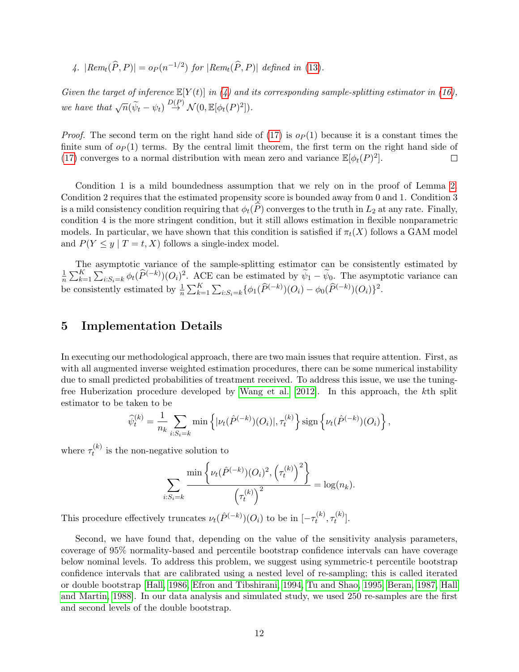4. 
$$
|Rem_t(\widehat{P}, P)| = o_P(n^{-1/2}) \text{ for } |Rem_t(\widehat{P}, P)| \text{ defined in (13)}.
$$

Given the target of inference  $\mathbb{E}[Y(t)]$  in [\(4\)](#page-5-2) and its corresponding sample-splitting estimator in [\(16\)](#page-10-0), we have that  $\sqrt{n}(\widetilde{\psi}_t - \psi_t) \stackrel{D(P)}{\rightarrow} \mathcal{N}(0, \mathbb{E}[\phi_t(P)^2]).$ 

*Proof.* The second term on the right hand side of [\(17\)](#page-10-1) is  $o_P(1)$  because it is a constant times the finite sum of  $o_P(1)$  terms. By the central limit theorem, the first term on the right hand side of [\(17\)](#page-10-1) converges to a normal distribution with mean zero and variance  $\mathbb{E}[\phi_t(P)^2]$ .  $\Box$ 

Condition 1 is a mild boundedness assumption that we rely on in the proof of Lemma [2.](#page-10-2) Condition 2 requires that the estimated propensity score is bounded away from 0 and 1. Condition 3 is a mild consistency condition requiring that  $\phi_t(P)$  converges to the truth in  $L_2$  at any rate. Finally, condition 4 is the more stringent condition, but it still allows estimation in flexible nonparametric models. In particular, we have shown that this condition is satisfied if  $\pi_t(X)$  follows a GAM model and  $P(Y \leq y \mid T = t, X)$  follows a single-index model.

The asymptotic variance of the sample-splitting estimator can be consistently estimated by 1  $\frac{1}{n} \sum_{k=1}^{K} \sum_{i:S_i=k} \phi_t(\widehat{P}^{(-k)})(O_i)^2$ . ACE can be estimated by  $\widetilde{\psi}_1 - \widetilde{\psi}_0$ . The asymptotic variance can be consistently estimated by  $\frac{1}{n} \sum_{k=1}^{K} \sum_{i:S_i=k} {\{\phi_1(\widehat{P}^{(-k)})(O_i) - \phi_0(\widehat{P}^{(-k)})(O_i)\}}^2$ .

# 5 Implementation Details

In executing our methodological approach, there are two main issues that require attention. First, as with all augmented inverse weighted estimation procedures, there can be some numerical instability due to small predicted probabilities of treatment received. To address this issue, we use the tuningfree Huberization procedure developed by [Wang et al. \[2012\]](#page-24-11). In this approach, the kth split estimator to be taken to be

$$
\widehat{\psi}_t^{(k)} = \frac{1}{n_k} \sum_{i:S_i=k} \min \left\{ |\nu_t(\widehat{P}^{(-k)})(O_i)|, \tau_t^{(k)} \right\} \operatorname{sign} \left\{ \nu_t(\widehat{P}^{(-k)})(O_i) \right\},\,
$$

where  $\tau_t^{(k)}$  $t_t^{(k)}$  is the non-negative solution to

$$
\sum_{i:S_i=k} \frac{\min\left\{\nu_t(\hat{P}^{(-k)})(O_i)^2, \left(\tau_t^{(k)}\right)^2\right\}}{\left(\tau_t^{(k)}\right)^2} = \log(n_k).
$$

This procedure effectively truncates  $\nu_t(\hat{P}^{(-k)})(O_i)$  to be in  $[-\tau_t^{(k)}]$  $\tau_t^{(k)}, \tau_t^{(k)}$  $\left[\begin{matrix} \kappa \\ t \end{matrix}\right]$ .

Second, we have found that, depending on the value of the sensitivity analysis parameters, coverage of 95% normality-based and percentile bootstrap confidence intervals can have coverage below nominal levels. To address this problem, we suggest using symmetric-t percentile bootstrap confidence intervals that are calibrated using a nested level of re-sampling; this is called iterated or double bootstrap [\[Hall, 1986,](#page-22-10) [Efron and Tibshirani, 1994,](#page-22-11) [Tu and Shao, 1995,](#page-24-12) [Beran, 1987,](#page-21-7) [Hall](#page-22-12) [and Martin, 1988\]](#page-22-12). In our data analysis and simulated study, we used 250 re-samples are the first and second levels of the double bootstrap.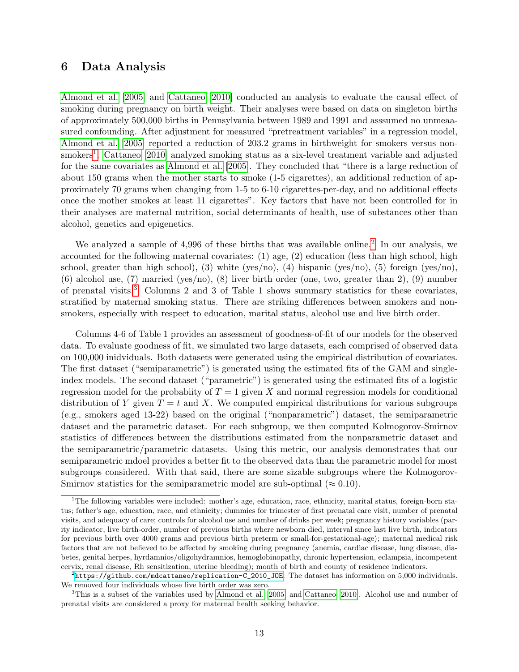# 6 Data Analysis

[Almond et al. \[2005\]](#page-21-8) and [Cattaneo \[2010\]](#page-21-9) conducted an analysis to evaluate the causal effect of smoking during pregnancy on birth weight. Their analyses were based on data on singleton births of approximately 500,000 births in Pennsylvania between 1989 and 1991 and asssumed no unmeaasured confounding. After adjustment for measured "pretreatment variables" in a regression model, [Almond et al. \[2005\]](#page-21-8) reported a reduction of 203.2 grams in birthweight for smokers versus non-smokers<sup>[1](#page-12-0)</sup>. [Cattaneo \[2010\]](#page-21-9) analyzed smoking status as a six-level treatment variable and adjusted for the same covariates as [Almond et al. \[2005\]](#page-21-8). They concluded that "there is a large reduction of about 150 grams when the mother starts to smoke (1-5 cigarettes), an additional reduction of approximately 70 grams when changing from 1-5 to 6-10 cigarettes-per-day, and no additional effects once the mother smokes at least 11 cigarettes". Key factors that have not been controlled for in their analyses are maternal nutrition, social determinants of health, use of substances other than alcohol, genetics and epigenetics.

We analyzed a sample of 4,996 of these births that was available online.<sup>[2](#page-12-1)</sup> In our analysis, we accounted for the following maternal covariates: (1) age, (2) education (less than high school, high school, greater than high school), (3) white (yes/no), (4) hispanic (yes/no), (5) foreign (yes/no), (6) alcohol use, (7) married (yes/no), (8) liver birth order (one, two, greater than 2), (9) number of prenatal visits.[3](#page-12-2) Columns 2 and 3 of Table 1 shows summary statistics for these covariates, stratified by maternal smoking status. There are striking differences between smokers and nonsmokers, especially with respect to education, marital status, alcohol use and live birth order.

Columns 4-6 of Table 1 provides an assessment of goodness-of-fit of our models for the observed data. To evaluate goodness of fit, we simulated two large datasets, each comprised of observed data on 100,000 inidviduals. Both datasets were generated using the empirical distribution of covariates. The first dataset ("semiparametric") is generated using the estimated fits of the GAM and singleindex models. The second dataset ("parametric") is generated using the estimated fits of a logistic regression model for the probabiity of  $T = 1$  given X and normal regression models for conditional distribution of Y given  $T = t$  and X. We computed empirical distributions for various subgroups (e.g., smokers aged 13-22) based on the original ("nonparametric") dataset, the semiparametric dataset and the parametric dataset. For each subgroup, we then computed Kolmogorov-Smirnov statistics of differences between the distributions estimated from the nonparametric dataset and the semiparametric/parametric datasets. Using this metric, our analysis demonstrates that our semiparametric mdoel provides a better fit to the observed data than the parametric model for most subgroups considered. With that said, there are some sizable subgroups where the Kolmogorov-Smirnov statistics for the semiparametric model are sub-optimal ( $\approx 0.10$ ).

<span id="page-12-0"></span><sup>&</sup>lt;sup>1</sup>The following variables were included: mother's age, education, race, ethnicity, marital status, foreign-born status; father's age, education, race, and ethnicity; dummies for trimester of first prenatal care visit, number of prenatal visits, and adequacy of care; controls for alcohol use and number of drinks per week; pregnancy history variables (parity indicator, live birth-order, number of previous births where newborn died, interval since last live birth, indicators for previous birth over 4000 grams and previous birth preterm or small-for-gestational-age); maternal medical risk factors that are not believed to be affected by smoking during pregnancy (anemia, cardiac disease, lung disease, diabetes, genital herpes, hyrdamnios/oligohydramnios, hemoglobinopathy, chronic hypertension, eclampsia, incompetent cervix, renal disease, Rh sensitization, uterine bleeding); month of birth and county of residence indicators.

<span id="page-12-1"></span> $^2$ [https://github.com/mdcattaneo/replication-C\\_2010\\_JOE](https://github.com/mdcattaneo/replication-C_2010_JOE). The dataset has information on  $5,\!000$  individuals. We removed four individuals whose live birth order was zero.

<span id="page-12-2"></span><sup>3</sup>This is a subset of the variables used by [Almond et al.](#page-21-8) [\[2005\]](#page-21-8) and [Cattaneo](#page-21-9) [\[2010\]](#page-21-9). Alcohol use and number of prenatal visits are considered a proxy for maternal health seeking behavior.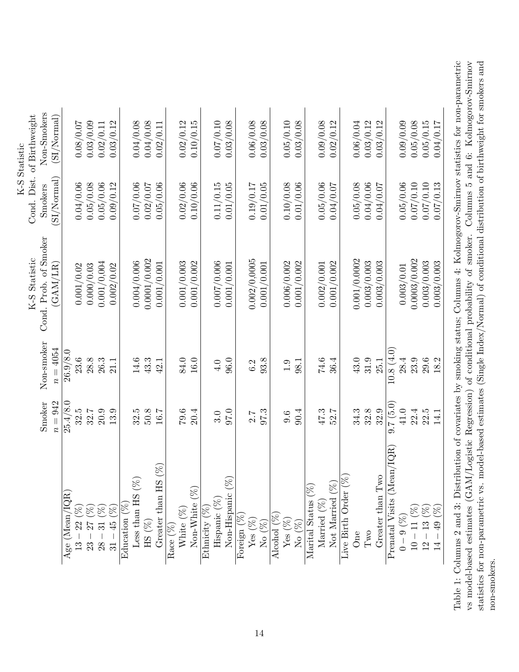<span id="page-13-0"></span>

|                                                                                 |          |            |                       |             | K-S Statistic              |
|---------------------------------------------------------------------------------|----------|------------|-----------------------|-------------|----------------------------|
|                                                                                 |          |            | K-S Statistic         |             | Cond. Dist. of Birthweight |
|                                                                                 | Smoker   | Non-smoker | Cond. Prob. of Smoker | Smokers     | Non-Smokers                |
|                                                                                 | $n=942$  | $n = 4054$ | (GAM/LR)              | (SI/Normal) | (SI/Normal)                |
| Age (Mean $/$                                                                   | 25.4/8.0 | 26.9/8.0   |                       |             |                            |
| $\overline{13}$                                                                 | 32.5     | 23.6       | 0.001/0.02            | 0.04/0.06   | 0.08/0.07                  |
|                                                                                 | 32.7     | 28.8       | 0.000/0.03            | 0.05/0.08   | 0.03/0.09                  |
| 888<br>$38 - 30 - 5$                                                            | 20.9     | 26.3       | 0.001/0,004           | 0.05/0.06   | 0.02/0.11                  |
| $-37$ ( $^{9}$<br>$-31$ ( $^{1}$<br>$-45$ (                                     | 13.9     | 21.1       | 0.002/0.02            | 0.09/0.12   | 0.03/0.12                  |
| Education                                                                       |          |            |                       |             |                            |
| $\mathscr{B}$<br>Less than HS                                                   | 32.5     | 14.6       | 0.004/0.006           | 0.07/0.06   | 0.04/0.08                  |
| HS $(\%)$                                                                       | 50.8     | 43.3       | 0.0001/0.002          | 0.02/0.07   | 0.04/0.08                  |
| $(\%)$<br>Greater than HS                                                       | 16.7     | 42.1       | 0.001/0.001           | 0.05/0.06   | 0.02/0.11                  |
|                                                                                 |          |            |                       |             |                            |
| $\frac{\text{Race } (\%)}{\text{White } (\%)}$                                  | 79.6     | 84.0       | 0.001/0.003           | 0.02/0.06   | 0.02/0.12                  |
| $Non-White( %)$                                                                 | 20.4     | 16.0       | 0.001/0.002           | 0.10/0.06   | 0.10/0.15                  |
|                                                                                 |          |            |                       |             |                            |
| $\begin{array}{l} \mbox{Ethnicity (}\%\)\\ \mbox{Hispanic ($\%$)} \end{array}$  | 3.0      | 4.0        | 0.007/0.006           | 0.11/0.15   | 0.07/0.10                  |
| S.<br>Non-Hispanic                                                              | 97.0     | 96.0       | 0.001/0.001           | 0.01/0.05   | 0.03/0.08                  |
| $\widehat{\mathbb{S}}$<br>Foreign                                               |          |            |                       |             |                            |
| Yes $(\%)$ No $(\%)$                                                            | 2.7      | 6.2        | 0.002/0,0005          | 0.19/0.17   | 0.06/0.08                  |
|                                                                                 | 97.3     | 93.8       | 0.001/0.001           | 0.01/0.05   | 0.03/0.08                  |
| Alcohol                                                                         |          |            |                       |             |                            |
| Yes $(\%)$ No $(\%)$                                                            | 9.6      | 1.9        | 0.006/0.002           | 0.10/0.08   | 0.05/0.10                  |
|                                                                                 | 90.4     | 98.1       | 0.001/0.002           | 0.01/0.06   | 0.03/0.08                  |
| Marital Status                                                                  |          |            |                       |             |                            |
| Married (%)                                                                     | 47.3     | 74.6       | 0.002/0.001           | 0.05/0.06   | 0.09/0.08                  |
| Not Married                                                                     | 52.7     | 36.4       | 0.001/0.002           | 0.04/0.07   | 0.02/0.12                  |
| Live Birth Order ( $%$                                                          |          |            |                       |             |                            |
| $\lim_{\substack{h\to\infty}}$                                                  | 34.3     | 43.0       | 0.001/0.0002          | 0.05/0.08   | 0.06/0.04                  |
| $\operatorname{Two}$                                                            | $32.8\,$ | 31.9       | 0.003/0.003           | 0.04/0.06   | 0.03/0.12                  |
| Greater than Two                                                                | 32.9     | 25.1       | 0.003/0.003           | 0.04/0.07   | 0.03/0.12                  |
| $Prenatal$ Visits (Mean/IQR)                                                    | 9.7(5.0) | 10.8(4.0)  |                       |             |                            |
| $0-9~(\%)$                                                                      | 41.0     | 28.4       | 0.003/0.01            | 0.05/0.06   | 0.09/0.09                  |
| $\begin{array}{r} -11 \ (\%) \\ -13 \ (\%) \\ -49 \ (\%) \end{array}$<br>$10 -$ | 22.4     | 23.9       | 0.0003/0.002          | 0.07/0.10   | 0.05/0.08                  |
| $12 -$                                                                          | 22.5     | 29.6       | 0.003/0.003           | 0.07/0.10   | 0.05/0.15                  |
| $\overline{4}$                                                                  | 14.1     | 18.2       | 0.003/0.003           | 0.07/0.13   | 0.04/0.17                  |
|                                                                                 |          |            |                       |             |                            |

Table 1: Columns 2 and 3: Distribution of covariates by smoking status; Columns 4: Kolmogorov-Smirnov statistics for non-parametric vs model-based estimates (GAM/Logistic Regression) of conditional probability of smoker. Columns 5 and 6: Kolmogorov-Smirnov statistics for non-parametric vs. model-based estimates (Single Index/Normal) of conditional distribution of birthweight for smokers and Table 1: Columns 2 and 3: Distribution of covariates by smoking status; Columns 4: Kolmogorov-Smirnov statistics for non-parametric vs model-based estimates (GAM/Logistic Regression) of conditional probability of smoker. Columns 5 and 6: Kolmogorov-Smirnov statistics for non-parametric vs. model-based estimates (Single Index/Normal) of conditional distribution of birthweight for smokers and non-smokers. non-smokers.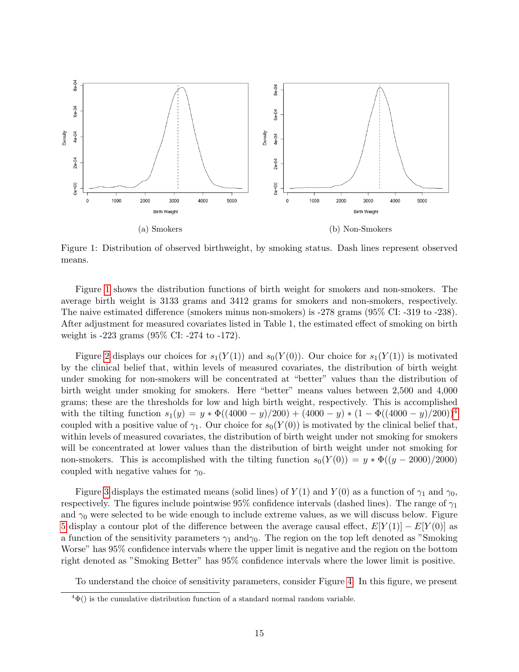<span id="page-14-0"></span>

Figure 1: Distribution of observed birthweight, by smoking status. Dash lines represent observed means.

Figure [1](#page-14-0) shows the distribution functions of birth weight for smokers and non-smokers. The average birth weight is 3133 grams and 3412 grams for smokers and non-smokers, respectively. The naive estimated difference (smokers minus non-smokers) is -278 grams (95% CI: -319 to -238). After adjustment for measured covariates listed in Table 1, the estimated effect of smoking on birth weight is -223 grams (95% CI: -274 to -172).

Figure [2](#page-15-0) displays our choices for  $s_1(Y(1))$  and  $s_0(Y(0))$ . Our choice for  $s_1(Y(1))$  is motivated by the clinical belief that, within levels of measured covariates, the distribution of birth weight under smoking for non-smokers will be concentrated at "better" values than the distribution of birth weight under smoking for smokers. Here "better" means values between 2,500 and 4,000 grams; these are the thresholds for low and high birth weight, respectively. This is accomplished with the tilting function  $s_1(y) = y * \Phi((4000 - y)/200) + (4000 - y) * (1 - \Phi((4000 - y)/200))^4$  $s_1(y) = y * \Phi((4000 - y)/200) + (4000 - y) * (1 - \Phi((4000 - y)/200))^4$  $s_1(y) = y * \Phi((4000 - y)/200) + (4000 - y) * (1 - \Phi((4000 - y)/200))^4$ coupled with a positive value of  $\gamma_1$ . Our choice for  $s_0(Y(0))$  is motivated by the clinical belief that, within levels of measured covariates, the distribution of birth weight under not smoking for smokers will be concentrated at lower values than the distribution of birth weight under not smoking for non-smokers. This is accomplished with the tilting function  $s_0(Y(0)) = y * \Phi((y - 2000)/2000)$ coupled with negative values for  $\gamma_0$ .

Figure [3](#page-15-1) displays the estimated means (solid lines) of  $Y(1)$  and  $Y(0)$  as a function of  $\gamma_1$  and  $\gamma_0$ , respectively. The figures include pointwise 95% confidence intervals (dashed lines). The range of  $\gamma_1$ and  $\gamma_0$  were selected to be wide enough to include extreme values, as we will discuss below. Figure [5](#page-17-0) display a contour plot of the difference between the average causal effect,  $E[Y(1)] - E[Y(0)]$  as a function of the sensitivity parameters  $\gamma_1$  and  $\gamma_0$ . The region on the top left denoted as "Smoking" Worse" has 95% confidence intervals where the upper limit is negative and the region on the bottom right denoted as "Smoking Better" has 95% confidence intervals where the lower limit is positive.

To understand the choice of sensitivity parameters, consider Figure [4.](#page-16-0) In this figure, we present

<span id="page-14-1"></span> $^{4}\Phi()$  is the cumulative distribution function of a standard normal random variable.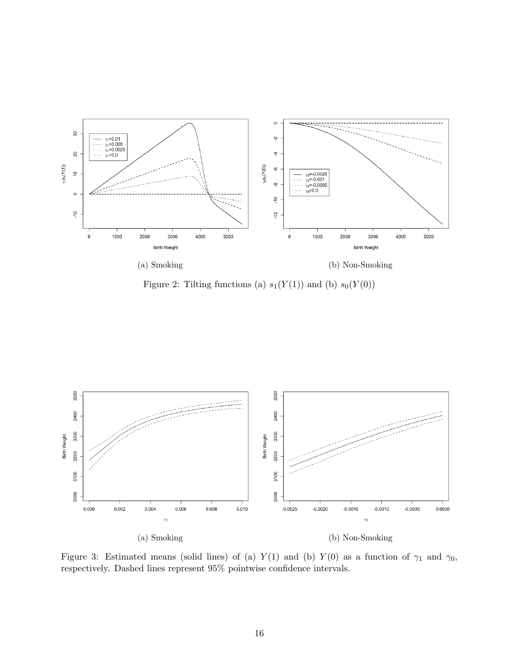<span id="page-15-0"></span>

Figure 2: Tilting functions (a)  $s_1(Y(1))$  and (b)  $s_0(Y(0))$ 

<span id="page-15-1"></span>

Figure 3: Estimated means (solid lines) of (a)  $Y(1)$  and (b)  $Y(0)$  as a function of  $\gamma_1$  and  $\gamma_0$ , respectively. Dashed lines represent 95% pointwise confidence intervals.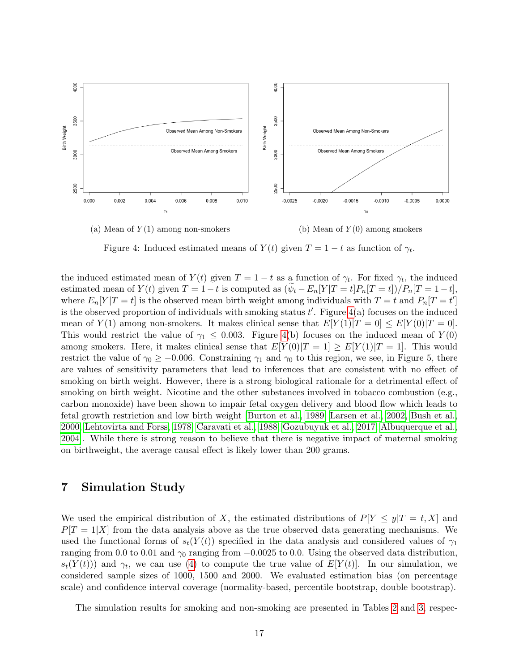<span id="page-16-0"></span>

Figure 4: Induced estimated means of  $Y(t)$  given  $T = 1 - t$  as function of  $\gamma_t$ .

the induced estimated mean of  $Y(t)$  given  $T = 1 - t$  as a function of  $\gamma_t$ . For fixed  $\gamma_t$ , the induced estimated mean of  $Y(t)$  given  $T = 1-t$  is computed as  $(\psi_t - E_n[Y|T = t]P_n|T = t]/P_n[T = 1-t]$ , where  $E_n[Y|T=t]$  is the observed mean birth weight among individuals with  $T=t$  and  $P_n[T=t']$ is the observed proportion of individuals with smoking status  $t'$ . Figure  $4(a)$  focuses on the induced mean of  $Y(1)$  among non-smokers. It makes clinical sense that  $E[Y(1)|T=0] \leq E[Y(0)|T=0]$ . This would restrict the value of  $\gamma_1 \leq 0.003$ . Figure [4\(](#page-16-0)b) focuses on the induced mean of  $Y(0)$ among smokers. Here, it makes clinical sense that  $E[Y(0)|T=1] \geq E[Y(1)|T=1]$ . This would restrict the value of  $\gamma_0 \ge -0.006$ . Constraining  $\gamma_1$  and  $\gamma_0$  to this region, we see, in Figure 5, there are values of sensitivity parameters that lead to inferences that are consistent with no effect of smoking on birth weight. However, there is a strong biological rationale for a detrimental effect of smoking on birth weight. Nicotine and the other substances involved in tobacco combustion (e.g., carbon monoxide) have been shown to impair fetal oxygen delivery and blood flow which leads to fetal growth restriction and low birth weight [\[Burton et al., 1989,](#page-21-10) [Larsen et al., 2002,](#page-23-9) [Bush et al.,](#page-21-11) [2000,](#page-21-11) [Lehtovirta and Forss, 1978,](#page-23-10) [Caravati et al., 1988,](#page-21-12) [Gozubuyuk et al., 2017,](#page-22-13) [Albuquerque et al.,](#page-21-13) [2004\]](#page-21-13). While there is strong reason to believe that there is negative impact of maternal smoking on birthweight, the average causal effect is likely lower than 200 grams.

# 7 Simulation Study

We used the empirical distribution of X, the estimated distributions of  $P[Y \leq y|T = t, X]$  and  $P[T = 1|X]$  from the data analysis above as the true observed data generating mechanisms. We used the functional forms of  $s_t(Y(t))$  specified in the data analysis and considered values of  $\gamma_1$ ranging from 0.0 to 0.01 and  $\gamma_0$  ranging from  $-0.0025$  to 0.0. Using the observed data distribution,  $s_t(Y(t))$  and  $\gamma_t$ , we can use [\(4\)](#page-5-2) to compute the true value of  $E[Y(t)]$ . In our simulation, we considered sample sizes of 1000, 1500 and 2000. We evaluated estimation bias (on percentage scale) and confidence interval coverage (normality-based, percentile bootstrap, double bootstrap).

The simulation results for smoking and non-smoking are presented in Tables [2](#page-18-0) and [3,](#page-19-0) respec-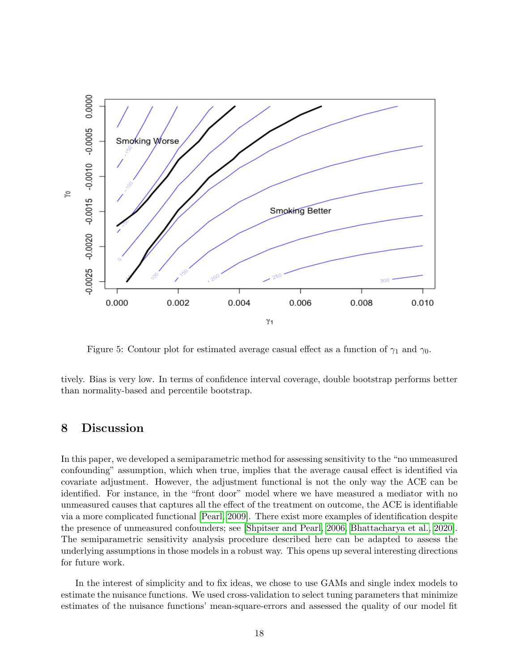<span id="page-17-0"></span>

Figure 5: Contour plot for estimated average casual effect as a function of  $\gamma_1$  and  $\gamma_0$ .

tively. Bias is very low. In terms of confidence interval coverage, double bootstrap performs better than normality-based and percentile bootstrap.

# 8 Discussion

In this paper, we developed a semiparametric method for assessing sensitivity to the "no unmeasured confounding" assumption, which when true, implies that the average causal effect is identified via covariate adjustment. However, the adjustment functional is not the only way the ACE can be identified. For instance, in the "front door" model where we have measured a mediator with no unmeasured causes that captures all the effect of the treatment on outcome, the ACE is identifiable via a more complicated functional [\[Pearl, 2009\]](#page-23-11). There exist more examples of identification despite the presence of unmeasured confounders; see [\[Shpitser and Pearl, 2006,](#page-24-13) [Bhattacharya et al., 2020\]](#page-21-14). The semiparametric sensitivity analysis procedure described here can be adapted to assess the underlying assumptions in those models in a robust way. This opens up several interesting directions for future work.

In the interest of simplicity and to fix ideas, we chose to use GAMs and single index models to estimate the nuisance functions. We used cross-validation to select tuning parameters that minimize estimates of the nuisance functions' mean-square-errors and assessed the quality of our model fit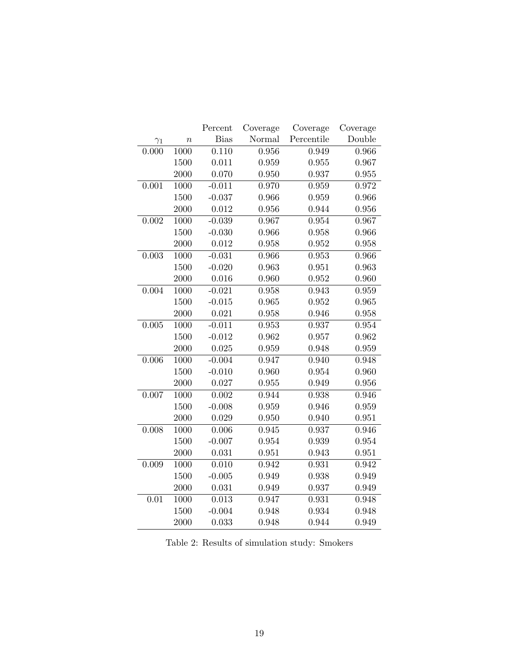<span id="page-18-0"></span>

|            |                  | Percent     | Coverage | Coverage   | Coverage |
|------------|------------------|-------------|----------|------------|----------|
| $\gamma_1$ | $\boldsymbol{n}$ | <b>Bias</b> | Normal   | Percentile | Double   |
| 0.000      | 1000             | 0.110       | 0.956    | 0.949      | 0.966    |
|            | 1500             | 0.011       | 0.959    | 0.955      | 0.967    |
|            | 2000             | 0.070       | 0.950    | 0.937      | 0.955    |
| 0.001      | 1000             | $-0.011$    | 0.970    | 0.959      | 0.972    |
|            | 1500             | $-0.037$    | 0.966    | 0.959      | 0.966    |
|            | 2000             | 0.012       | 0.956    | 0.944      | 0.956    |
| 0.002      | 1000             | $-0.039$    | 0.967    | 0.954      | 0.967    |
|            | 1500             | $-0.030$    | 0.966    | 0.958      | 0.966    |
|            | 2000             | 0.012       | 0.958    | 0.952      | 0.958    |
| 0.003      | 1000             | $-0.031$    | 0.966    | 0.953      | 0.966    |
|            | 1500             | $-0.020$    | 0.963    | 0.951      | 0.963    |
|            | 2000             | 0.016       | 0.960    | 0.952      | 0.960    |
| 0.004      | 1000             | $-0.021$    | 0.958    | 0.943      | 0.959    |
|            | 1500             | $-0.015$    | 0.965    | 0.952      | 0.965    |
|            | 2000             | 0.021       | 0.958    | 0.946      | 0.958    |
| 0.005      | 1000             | $-0.011$    | 0.953    | 0.937      | 0.954    |
|            | 1500             | $-0.012$    | 0.962    | 0.957      | 0.962    |
|            | 2000             | 0.025       | 0.959    | 0.948      | 0.959    |
| 0.006      | 1000             | $-0.004$    | 0.947    | 0.940      | 0.948    |
|            | 1500             | $-0.010$    | 0.960    | 0.954      | 0.960    |
|            | 2000             | 0.027       | 0.955    | 0.949      | 0.956    |
| 0.007      | 1000             | 0.002       | 0.944    | 0.938      | 0.946    |
|            | 1500             | $-0.008$    | 0.959    | 0.946      | 0.959    |
|            | 2000             | 0.029       | 0.950    | 0.940      | 0.951    |
| 0.008      | 1000             | 0.006       | 0.945    | 0.937      | 0.946    |
|            | 1500             | $-0.007$    | 0.954    | 0.939      | 0.954    |
|            | 2000             | 0.031       | 0.951    | 0.943      | 0.951    |
| 0.009      | 1000             | 0.010       | 0.942    | 0.931      | 0.942    |
|            | 1500             | $-0.005$    | 0.949    | 0.938      | 0.949    |
|            | 2000             | 0.031       | 0.949    | 0.937      | 0.949    |
| 0.01       | 1000             | 0.013       | 0.947    | 0.931      | 0.948    |
|            | 1500             | $-0.004$    | 0.948    | 0.934      | 0.948    |
|            | 2000             | 0.033       | 0.948    | 0.944      | 0.949    |

Table 2: Results of simulation study: Smokers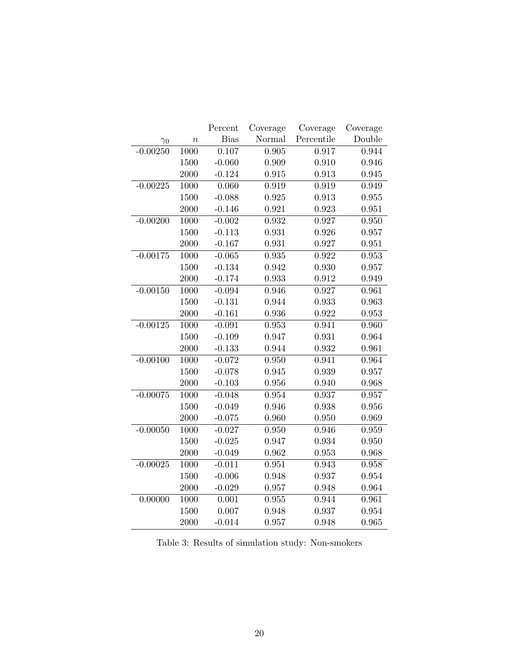<span id="page-19-0"></span>

|            |                  | Percent     | Coverage | Coverage   | Coverage |
|------------|------------------|-------------|----------|------------|----------|
| $\gamma_0$ | $\boldsymbol{n}$ | <b>Bias</b> | Normal   | Percentile | Double   |
| $-0.00250$ | 1000             | 0.107       | 0.905    | 0.917      | 0.944    |
|            | 1500             | $-0.060$    | 0.909    | 0.910      | 0.946    |
|            | 2000             | $-0.124$    | 0.915    | 0.913      | 0.945    |
| $-0.00225$ | 1000             | 0.060       | 0.919    | 0.919      | 0.949    |
|            | 1500             | $-0.088$    | 0.925    | 0.913      | 0.955    |
|            | 2000             | $-0.146$    | 0.921    | 0.923      | 0.951    |
| $-0.00200$ | 1000             | $-0.002$    | 0.932    | 0.927      | 0.950    |
|            | 1500             | $-0.113$    | 0.931    | 0.926      | 0.957    |
|            | 2000             | $-0.167$    | 0.931    | 0.927      | 0.951    |
| $-0.00175$ | 1000             | $-0.065$    | 0.935    | 0.922      | 0.953    |
|            | 1500             | $-0.134$    | 0.942    | 0.930      | 0.957    |
|            | 2000             | $-0.174$    | 0.933    | 0.912      | 0.949    |
| $-0.00150$ | 1000             | $-0.094$    | 0.946    | 0.927      | 0.961    |
|            | 1500             | $-0.131$    | 0.944    | 0.933      | 0.963    |
|            | 2000             | $-0.161$    | 0.936    | 0.922      | 0.953    |
| $-0.00125$ | 1000             | $-0.091$    | 0.953    | 0.941      | 0.960    |
|            | 1500             | $-0.109$    | 0.947    | 0.931      | 0.964    |
|            | 2000             | $-0.133$    | 0.944    | 0.932      | 0.961    |
| $-0.00100$ | 1000             | $-0.072$    | 0.950    | 0.941      | 0.964    |
|            | 1500             | $-0.078$    | 0.945    | 0.939      | 0.957    |
|            | 2000             | $-0.103$    | 0.956    | 0.940      | 0.968    |
| $-0.00075$ | 1000             | $-0.048$    | 0.954    | 0.937      | 0.957    |
|            | 1500             | $-0.049$    | 0.946    | 0.938      | 0.956    |
|            | 2000             | $-0.075$    | 0.960    | 0.950      | 0.969    |
| $-0.00050$ | 1000             | $-0.027$    | 0.950    | 0.946      | 0.959    |
|            | 1500             | $-0.025$    | 0.947    | 0.934      | 0.950    |
|            | 2000             | $-0.049$    | 0.962    | 0.953      | 0.968    |
| $-0.00025$ | 1000             | $-0.011$    | 0.951    | 0.943      | 0.958    |
|            | 1500             | $-0.006$    | 0.948    | 0.937      | 0.954    |
|            | 2000             | $-0.029$    | 0.957    | 0.948      | 0.964    |
| 0.00000    | 1000             | 0.001       | 0.955    | 0.944      | 0.961    |
|            | 1500             | 0.007       | 0.948    | 0.937      | 0.954    |
|            | 2000             | $-0.014$    | 0.957    | 0.948      | 0.965    |

Table 3: Results of simulation study: Non-smokers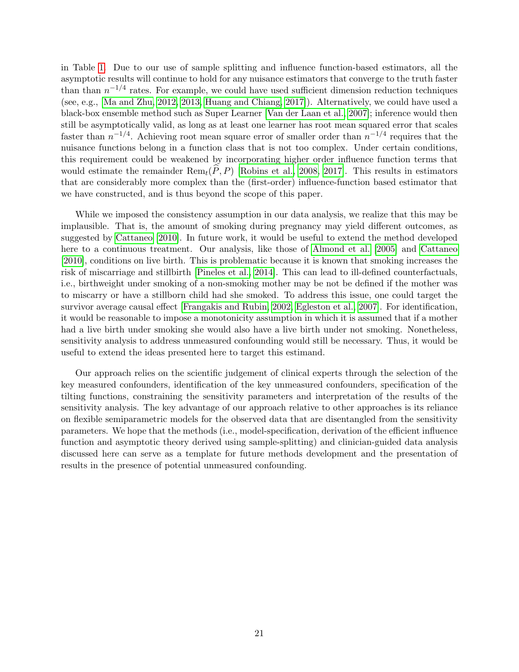in Table [1.](#page-13-0) Due to our use of sample splitting and influence function-based estimators, all the asymptotic results will continue to hold for any nuisance estimators that converge to the truth faster than than  $n^{-1/4}$  rates. For example, we could have used sufficient dimension reduction techniques (see, e.g., [\[Ma and Zhu, 2012,](#page-23-12) [2013,](#page-23-13) [Huang and Chiang, 2017\]](#page-22-14)). Alternatively, we could have used a black-box ensemble method such as Super Learner [\[Van der Laan et al., 2007\]](#page-24-14); inference would then still be asymptotically valid, as long as at least one learner has root mean squared error that scales faster than  $n^{-1/4}$ . Achieving root mean square error of smaller order than  $n^{-1/4}$  requires that the nuisance functions belong in a function class that is not too complex. Under certain conditions, this requirement could be weakened by incorporating higher order influence function terms that would estimate the remainder  $\text{Rem}_t(\hat{P}, P)$  [\[Robins et al., 2008,](#page-23-14) [2017\]](#page-24-15). This results in estimators that are considerably more complex than the (first-order) influence-function based estimator that we have constructed, and is thus beyond the scope of this paper.

While we imposed the consistency assumption in our data analysis, we realize that this may be implausible. That is, the amount of smoking during pregnancy may yield different outcomes, as suggested by [Cattaneo \[2010\]](#page-21-9). In future work, it would be useful to extend the method developed here to a continuous treatment. Our analysis, like those of [Almond et al. \[2005\]](#page-21-8) and [Cattaneo](#page-21-9) [\[2010\]](#page-21-9), conditions on live birth. This is problematic because it is known that smoking increases the risk of miscarriage and stillbirth [\[Pineles et al., 2014\]](#page-23-15). This can lead to ill-defined counterfactuals, i.e., birthweight under smoking of a non-smoking mother may be not be defined if the mother was to miscarry or have a stillborn child had she smoked. To address this issue, one could target the survivor average causal effect [\[Frangakis and Rubin, 2002,](#page-22-15) [Egleston et al., 2007\]](#page-22-16). For identification, it would be reasonable to impose a monotonicity assumption in which it is assumed that if a mother had a live birth under smoking she would also have a live birth under not smoking. Nonetheless, sensitivity analysis to address unmeasured confounding would still be necessary. Thus, it would be useful to extend the ideas presented here to target this estimand.

Our approach relies on the scientific judgement of clinical experts through the selection of the key measured confounders, identification of the key unmeasured confounders, specification of the tilting functions, constraining the sensitivity parameters and interpretation of the results of the sensitivity analysis. The key advantage of our approach relative to other approaches is its reliance on flexible semiparametric models for the observed data that are disentangled from the sensitivity parameters. We hope that the methods (i.e., model-specification, derivation of the efficient influence function and asymptotic theory derived using sample-splitting) and clinician-guided data analysis discussed here can serve as a template for future methods development and the presentation of results in the presence of potential unmeasured confounding.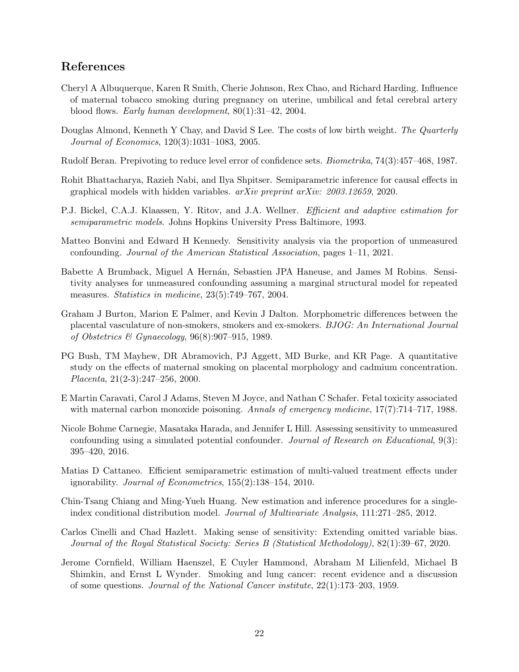# References

- <span id="page-21-13"></span>Cheryl A Albuquerque, Karen R Smith, Cherie Johnson, Rex Chao, and Richard Harding. Influence of maternal tobacco smoking during pregnancy on uterine, umbilical and fetal cerebral artery blood flows. Early human development, 80(1):31–42, 2004.
- <span id="page-21-8"></span>Douglas Almond, Kenneth Y Chay, and David S Lee. The costs of low birth weight. The Quarterly Journal of Economics, 120(3):1031–1083, 2005.
- <span id="page-21-7"></span>Rudolf Beran. Prepivoting to reduce level error of confidence sets. Biometrika, 74(3):457–468, 1987.
- <span id="page-21-14"></span>Rohit Bhattacharya, Razieh Nabi, and Ilya Shpitser. Semiparametric inference for causal effects in graphical models with hidden variables.  $arXiv$  preprint  $arXiv: 2003.12659, 2020$ .
- <span id="page-21-5"></span>P.J. Bickel, C.A.J. Klaassen, Y. Ritov, and J.A. Wellner. Efficient and adaptive estimation for semiparametric models. Johns Hopkins University Press Baltimore, 1993.
- <span id="page-21-1"></span>Matteo Bonvini and Edward H Kennedy. Sensitivity analysis via the proportion of unmeasured confounding. Journal of the American Statistical Association, pages 1–11, 2021.
- <span id="page-21-4"></span>Babette A Brumback, Miguel A Hernán, Sebastien JPA Haneuse, and James M Robins. Sensitivity analyses for unmeasured confounding assuming a marginal structural model for repeated measures. Statistics in medicine, 23(5):749–767, 2004.
- <span id="page-21-10"></span>Graham J Burton, Marion E Palmer, and Kevin J Dalton. Morphometric differences between the placental vasculature of non-smokers, smokers and ex-smokers. BJOG: An International Journal of Obstetrics & Gynaecology,  $96(8):907-915$ , 1989.
- <span id="page-21-11"></span>PG Bush, TM Mayhew, DR Abramovich, PJ Aggett, MD Burke, and KR Page. A quantitative study on the effects of maternal smoking on placental morphology and cadmium concentration. Placenta, 21(2-3):247–256, 2000.
- <span id="page-21-12"></span>E Martin Caravati, Carol J Adams, Steven M Joyce, and Nathan C Schafer. Fetal toxicity associated with maternal carbon monoxide poisoning. Annals of emergency medicine, 17(7):714–717, 1988.
- <span id="page-21-2"></span>Nicole Bohme Carnegie, Masataka Harada, and Jennifer L Hill. Assessing sensitivity to unmeasured confounding using a simulated potential confounder. Journal of Research on Educational, 9(3): 395–420, 2016.
- <span id="page-21-9"></span>Matias D Cattaneo. Efficient semiparametric estimation of multi-valued treatment effects under ignorability. Journal of Econometrics, 155(2):138–154, 2010.
- <span id="page-21-6"></span>Chin-Tsang Chiang and Ming-Yueh Huang. New estimation and inference procedures for a singleindex conditional distribution model. Journal of Multivariate Analysis, 111:271–285, 2012.
- <span id="page-21-3"></span>Carlos Cinelli and Chad Hazlett. Making sense of sensitivity: Extending omitted variable bias. Journal of the Royal Statistical Society: Series B (Statistical Methodology), 82(1):39–67, 2020.
- <span id="page-21-0"></span>Jerome Cornfield, William Haenszel, E Cuyler Hammond, Abraham M Lilienfeld, Michael B Shimkin, and Ernst L Wynder. Smoking and lung cancer: recent evidence and a discussion of some questions. Journal of the National Cancer institute, 22(1):173–203, 1959.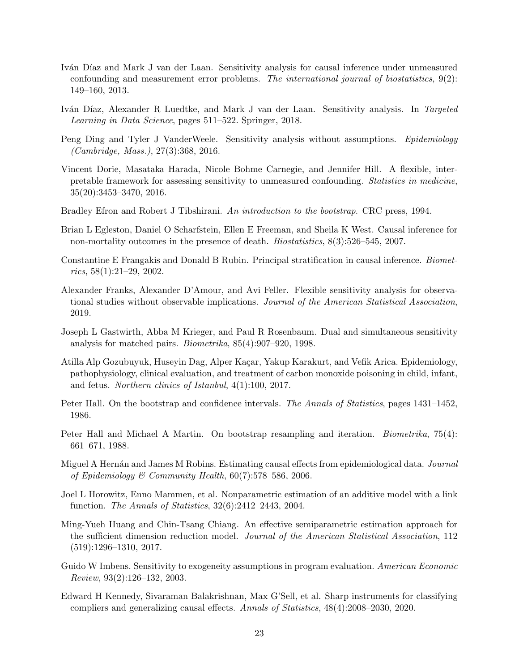- <span id="page-22-4"></span>Iván Díaz and Mark J van der Laan. Sensitivity analysis for causal inference under unmeasured confounding and measurement error problems. The international journal of biostatistics, 9(2): 149–160, 2013.
- <span id="page-22-5"></span>Iván Díaz, Alexander R Luedtke, and Mark J van der Laan. Sensitivity analysis. In Targeted Learning in Data Science, pages 511–522. Springer, 2018.
- <span id="page-22-2"></span>Peng Ding and Tyler J VanderWeele. Sensitivity analysis without assumptions. Epidemiology (Cambridge, Mass.), 27(3):368, 2016.
- <span id="page-22-7"></span>Vincent Dorie, Masataka Harada, Nicole Bohme Carnegie, and Jennifer Hill. A flexible, interpretable framework for assessing sensitivity to unmeasured confounding. Statistics in medicine, 35(20):3453–3470, 2016.
- <span id="page-22-11"></span>Bradley Efron and Robert J Tibshirani. An introduction to the bootstrap. CRC press, 1994.
- <span id="page-22-16"></span>Brian L Egleston, Daniel O Scharfstein, Ellen E Freeman, and Sheila K West. Causal inference for non-mortality outcomes in the presence of death. Biostatistics, 8(3):526–545, 2007.
- <span id="page-22-15"></span>Constantine E Frangakis and Donald B Rubin. Principal stratification in causal inference. Biomet $rics, 58(1):21-29, 2002.$
- <span id="page-22-0"></span>Alexander Franks, Alexander D'Amour, and Avi Feller. Flexible sensitivity analysis for observational studies without observable implications. Journal of the American Statistical Association, 2019.
- <span id="page-22-3"></span>Joseph L Gastwirth, Abba M Krieger, and Paul R Rosenbaum. Dual and simultaneous sensitivity analysis for matched pairs. Biometrika, 85(4):907–920, 1998.
- <span id="page-22-13"></span>Atilla Alp Gozubuyuk, Huseyin Dag, Alper Kaçar, Yakup Karakurt, and Vefik Arica. Epidemiology, pathophysiology, clinical evaluation, and treatment of carbon monoxide poisoning in child, infant, and fetus. Northern clinics of Istanbul, 4(1):100, 2017.
- <span id="page-22-10"></span>Peter Hall. On the bootstrap and confidence intervals. The Annals of Statistics, pages 1431–1452, 1986.
- <span id="page-22-12"></span>Peter Hall and Michael A Martin. On bootstrap resampling and iteration. *Biometrika*, 75(4): 661–671, 1988.
- <span id="page-22-1"></span>Miguel A Hernán and James M Robins. Estimating causal effects from epidemiological data. Journal of Epidemiology & Community Health,  $60(7)$ :578-586, 2006.
- <span id="page-22-8"></span>Joel L Horowitz, Enno Mammen, et al. Nonparametric estimation of an additive model with a link function. The Annals of Statistics, 32(6):2412–2443, 2004.
- <span id="page-22-14"></span>Ming-Yueh Huang and Chin-Tsang Chiang. An effective semiparametric estimation approach for the sufficient dimension reduction model. Journal of the American Statistical Association, 112 (519):1296–1310, 2017.
- <span id="page-22-6"></span>Guido W Imbens. Sensitivity to exogeneity assumptions in program evaluation. American Economic Review, 93(2):126–132, 2003.
- <span id="page-22-9"></span>Edward H Kennedy, Sivaraman Balakrishnan, Max G'Sell, et al. Sharp instruments for classifying compliers and generalizing causal effects. Annals of Statistics, 48(4):2008–2030, 2020.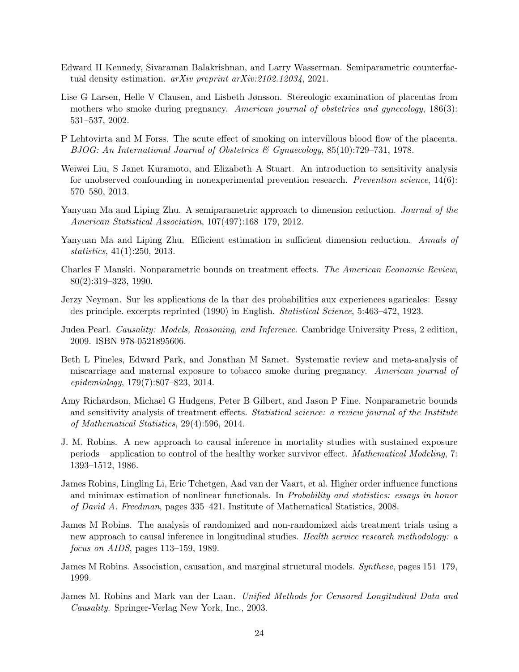- <span id="page-23-8"></span>Edward H Kennedy, Sivaraman Balakrishnan, and Larry Wasserman. Semiparametric counterfactual density estimation. arXiv preprint arXiv:2102.12034, 2021.
- <span id="page-23-9"></span>Lise G Larsen, Helle V Clausen, and Lisbeth Jønsson. Stereologic examination of placentas from mothers who smoke during pregnancy. American journal of obstetrics and gynecology, 186(3): 531–537, 2002.
- <span id="page-23-10"></span>P Lehtovirta and M Forss. The acute effect of smoking on intervillous blood flow of the placenta. BJOG: An International Journal of Obstetrics & Gynaecology, 85(10):729–731, 1978.
- <span id="page-23-2"></span>Weiwei Liu, S Janet Kuramoto, and Elizabeth A Stuart. An introduction to sensitivity analysis for unobserved confounding in nonexperimental prevention research. Prevention science, 14(6): 570–580, 2013.
- <span id="page-23-12"></span>Yanyuan Ma and Liping Zhu. A semiparametric approach to dimension reduction. Journal of the American Statistical Association, 107(497):168–179, 2012.
- <span id="page-23-13"></span>Yanyuan Ma and Liping Zhu. Efficient estimation in sufficient dimension reduction. Annals of statistics, 41(1):250, 2013.
- <span id="page-23-5"></span>Charles F Manski. Nonparametric bounds on treatment effects. The American Economic Review, 80(2):319–323, 1990.
- <span id="page-23-0"></span>Jerzy Neyman. Sur les applications de la thar des probabilities aux experiences agaricales: Essay des principle. excerpts reprinted (1990) in English. Statistical Science, 5:463–472, 1923.
- <span id="page-23-11"></span>Judea Pearl. Causality: Models, Reasoning, and Inference. Cambridge University Press, 2 edition, 2009. ISBN 978-0521895606.
- <span id="page-23-15"></span>Beth L Pineles, Edward Park, and Jonathan M Samet. Systematic review and meta-analysis of miscarriage and maternal exposure to tobacco smoke during pregnancy. American journal of epidemiology, 179(7):807–823, 2014.
- <span id="page-23-3"></span>Amy Richardson, Michael G Hudgens, Peter B Gilbert, and Jason P Fine. Nonparametric bounds and sensitivity analysis of treatment effects. Statistical science: a review journal of the Institute of Mathematical Statistics, 29(4):596, 2014.
- <span id="page-23-1"></span>J. M. Robins. A new approach to causal inference in mortality studies with sustained exposure periods – application to control of the healthy worker survivor effect. Mathematical Modeling, 7: 1393–1512, 1986.
- <span id="page-23-14"></span>James Robins, Lingling Li, Eric Tchetgen, Aad van der Vaart, et al. Higher order influence functions and minimax estimation of nonlinear functionals. In *Probability and statistics: essays in honor* of David A. Freedman, pages 335–421. Institute of Mathematical Statistics, 2008.
- <span id="page-23-4"></span>James M Robins. The analysis of randomized and non-randomized aids treatment trials using a new approach to causal inference in longitudinal studies. Health service research methodology: a focus on AIDS, pages 113–159, 1989.
- <span id="page-23-6"></span>James M Robins. Association, causation, and marginal structural models. Synthese, pages 151–179, 1999.
- <span id="page-23-7"></span>James M. Robins and Mark van der Laan. Unified Methods for Censored Longitudinal Data and Causality. Springer-Verlag New York, Inc., 2003.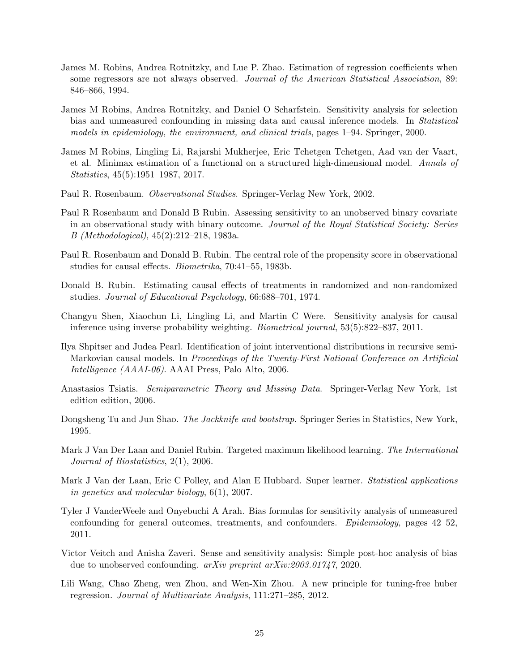- <span id="page-24-3"></span>James M. Robins, Andrea Rotnitzky, and Lue P. Zhao. Estimation of regression coefficients when some regressors are not always observed. Journal of the American Statistical Association, 89: 846–866, 1994.
- <span id="page-24-0"></span>James M Robins, Andrea Rotnitzky, and Daniel O Scharfstein. Sensitivity analysis for selection bias and unmeasured confounding in missing data and causal inference models. In Statistical models in epidemiology, the environment, and clinical trials, pages 1–94. Springer, 2000.
- <span id="page-24-15"></span>James M Robins, Lingling Li, Rajarshi Mukherjee, Eric Tchetgen Tchetgen, Aad van der Vaart, et al. Minimax estimation of a functional on a structured high-dimensional model. Annals of Statistics, 45(5):1951–1987, 2017.
- <span id="page-24-5"></span>Paul R. Rosenbaum. Observational Studies. Springer-Verlag New York, 2002.
- <span id="page-24-7"></span>Paul R Rosenbaum and Donald B Rubin. Assessing sensitivity to an unobserved binary covariate in an observational study with binary outcome. Journal of the Royal Statistical Society: Series B (Methodological), 45(2):212–218, 1983a.
- <span id="page-24-2"></span>Paul R. Rosenbaum and Donald B. Rubin. The central role of the propensity score in observational studies for causal effects. Biometrika, 70:41–55, 1983b.
- <span id="page-24-1"></span>Donald B. Rubin. Estimating causal effects of treatments in randomized and non-randomized studies. Journal of Educational Psychology, 66:688–701, 1974.
- <span id="page-24-6"></span>Changyu Shen, Xiaochun Li, Lingling Li, and Martin C Were. Sensitivity analysis for causal inference using inverse probability weighting. Biometrical journal, 53(5):822–837, 2011.
- <span id="page-24-13"></span>Ilya Shpitser and Judea Pearl. Identification of joint interventional distributions in recursive semi-Markovian causal models. In Proceedings of the Twenty-First National Conference on Artificial Intelligence (AAAI-06). AAAI Press, Palo Alto, 2006.
- <span id="page-24-10"></span>Anastasios Tsiatis. Semiparametric Theory and Missing Data. Springer-Verlag New York, 1st edition edition, 2006.
- <span id="page-24-12"></span>Dongsheng Tu and Jun Shao. *The Jackknife and bootstrap*. Springer Series in Statistics, New York, 1995.
- <span id="page-24-4"></span>Mark J Van Der Laan and Daniel Rubin. Targeted maximum likelihood learning. The International Journal of Biostatistics, 2(1), 2006.
- <span id="page-24-14"></span>Mark J Van der Laan, Eric C Polley, and Alan E Hubbard. Super learner. *Statistical applications* in genetics and molecular biology, 6(1), 2007.
- <span id="page-24-9"></span>Tyler J VanderWeele and Onyebuchi A Arah. Bias formulas for sensitivity analysis of unmeasured confounding for general outcomes, treatments, and confounders. Epidemiology, pages 42–52, 2011.
- <span id="page-24-8"></span>Victor Veitch and Anisha Zaveri. Sense and sensitivity analysis: Simple post-hoc analysis of bias due to unobserved confounding. arXiv preprint arXiv:2003.01747, 2020.
- <span id="page-24-11"></span>Lili Wang, Chao Zheng, wen Zhou, and Wen-Xin Zhou. A new principle for tuning-free huber regression. Journal of Multivariate Analysis, 111:271–285, 2012.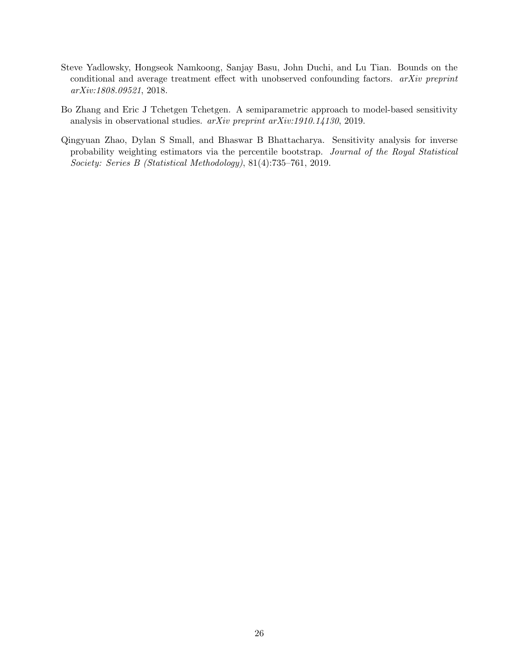- <span id="page-25-0"></span>Steve Yadlowsky, Hongseok Namkoong, Sanjay Basu, John Duchi, and Lu Tian. Bounds on the conditional and average treatment effect with unobserved confounding factors. arXiv preprint arXiv:1808.09521, 2018.
- <span id="page-25-2"></span>Bo Zhang and Eric J Tchetgen Tchetgen. A semiparametric approach to model-based sensitivity analysis in observational studies. arXiv preprint arXiv:1910.14130, 2019.
- <span id="page-25-1"></span>Qingyuan Zhao, Dylan S Small, and Bhaswar B Bhattacharya. Sensitivity analysis for inverse probability weighting estimators via the percentile bootstrap. Journal of the Royal Statistical Society: Series B (Statistical Methodology), 81(4):735–761, 2019.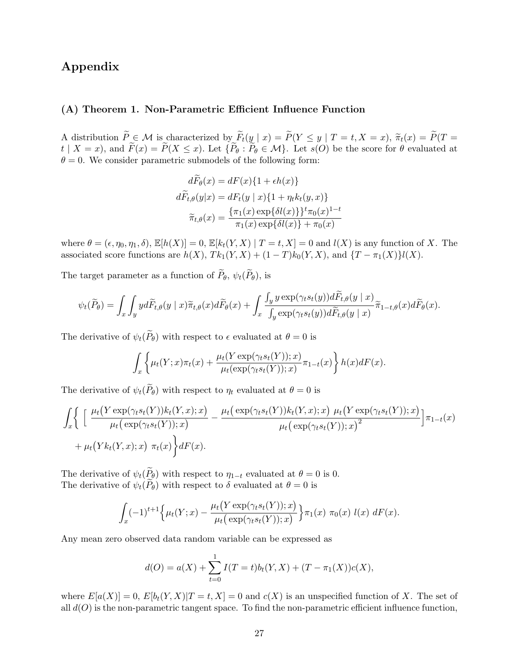# Appendix

# (A) Theorem 1. Non-Parametric Efficient Influence Function

A distribution  $\widetilde{P} \in \mathcal{M}$  is characterized by  $\widetilde{F}_t(y \mid x) = \widetilde{P}(Y \leq y \mid T = t, X = x)$ ,  $\widetilde{\pi}_t(x) = \widetilde{P}(T = x)$  $t | X = x$ , and  $\widetilde{F}(x) = \widetilde{P}(X \leq x)$ . Let  $\{\widetilde{P}_{\theta} : \widetilde{P}_{\theta} \in \mathcal{M}\}\)$ . Let  $s(O)$  be the score for  $\theta$  evaluated at  $\theta = 0$ . We consider parametric submodels of the following form:

$$
d\widetilde{F}_{\theta}(x) = dF(x)\{1 + \epsilon h(x)\}
$$

$$
d\widetilde{F}_{t,\theta}(y|x) = dF_t(y|x)\{1 + \eta_t k_t(y,x)\}
$$

$$
\widetilde{\pi}_{t,\theta}(x) = \frac{\{\pi_1(x) \exp\{\delta l(x)\}\}^t \pi_0(x)^{1-t}}{\pi_1(x) \exp\{\delta l(x)\} + \pi_0(x)}
$$

where  $\theta = (\epsilon, \eta_0, \eta_1, \delta), \mathbb{E}[h(X)] = 0, \mathbb{E}[k_t(Y, X) | T = t, X] = 0$  and  $l(X)$  is any function of X. The associated score functions are  $h(X)$ ,  $Tk_1(Y, X) + (1 - T)k_0(Y, X)$ , and  $\{T - \pi_1(X)\}l(X)$ .

The target parameter as a function of  $\widetilde{P}_{\theta}$ ,  $\psi_t(\widetilde{P}_{\theta})$ , is

$$
\psi_t(\widetilde{P}_{\theta}) = \int_x \int_y y d\widetilde{F}_{t,\theta}(y \mid x) \widetilde{\pi}_{t,\theta}(x) d\widetilde{F}_{\theta}(x) + \int_x \frac{\int_y y \exp(\gamma_t s_t(y)) d\widetilde{F}_{t,\theta}(y \mid x)}{\int_y \exp(\gamma_t s_t(y)) d\widetilde{F}_{t,\theta}(y \mid x)} \widetilde{\pi}_{1-t,\theta}(x) d\widetilde{F}_{\theta}(x).
$$

The derivative of  $\psi_t(\widetilde{P}_{\theta})$  with respect to  $\epsilon$  evaluated at  $\theta = 0$  is

$$
\int_x \left\{ \mu_t(Y;x)\pi_t(x) + \frac{\mu_t(Y \exp(\gamma_t s_t(Y));x)}{\mu_t(\exp(\gamma_t s_t(Y));x)} \pi_{1-t}(x) \right\} h(x) dF(x).
$$

The derivative of  $\psi_t(\widetilde{P}_{\theta})$  with respect to  $\eta_t$  evaluated at  $\theta = 0$  is

$$
\int_{x} \Bigg\{ \left[ \frac{\mu_t(Y \exp(\gamma_t s_t(Y)) k_t(Y, x); x)}{\mu_t(\exp(\gamma_t s_t(Y)); x)} - \frac{\mu_t(\exp(\gamma_t s_t(Y)) k_t(Y, x); x)}{\mu_t(\exp(\gamma_t s_t(Y)); x)} \right] \pi_{1-t}(x) + \mu_t(Y k_t(Y, x); x) \pi_t(x) \Bigg\} dF(x).
$$

The derivative of  $\psi_t(\tilde{P}_{\theta})$  with respect to  $\eta_{1-t}$  evaluated at  $\theta = 0$  is 0. The derivative of  $\psi_t(\widetilde{P}_{\theta})$  with respect to  $\delta$  evaluated at  $\theta = 0$  is

$$
\int_x (-1)^{t+1} \Big\{ \mu_t(Y; x) - \frac{\mu_t(Y \exp(\gamma_t s_t(Y)); x)}{\mu_t(\exp(\gamma_t s_t(Y)); x)} \Big\} \pi_1(x) \pi_0(x) \ l(x) \ dF(x).
$$

Any mean zero observed data random variable can be expressed as

$$
d(O) = a(X) + \sum_{t=0}^{1} I(T = t)b_t(Y, X) + (T - \pi_1(X))c(X),
$$

where  $E[a(X)] = 0$ ,  $E[b_t(Y, X)|T = t, X] = 0$  and  $c(X)$  is an unspecified function of X. The set of all  $d(O)$  is the non-parametric tangent space. To find the non-parametric efficient influence function,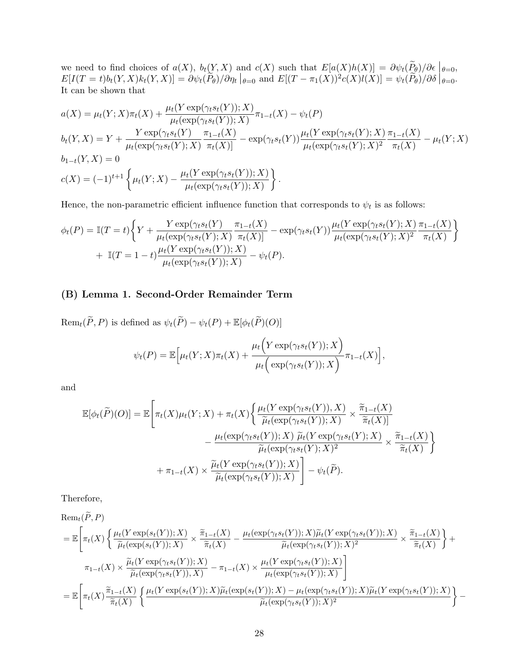we need to find choices of  $a(X)$ ,  $b_t(Y, X)$  and  $c(X)$  such that  $E[a(X)h(X)] = \partial \psi_t(P_\theta)/\partial \epsilon \Big|_{\theta=0}$ ,  $E[I(T = t)b_t(Y, X)k_t(Y, X)] = \partial \psi_t(\tilde{P}_{\theta})/\partial \eta_t |_{\theta=0}$  and  $E[(T - \pi_1(X))^2 c(X)l(X)] = \psi_t(\tilde{P}_{\theta})/\partial \delta |_{\theta=0}$ . It can be shown that

$$
a(X) = \mu_t(Y; X)\pi_t(X) + \frac{\mu_t(Y \exp(\gamma_t s_t(Y)); X)}{\mu_t(\exp(\gamma_t s_t(Y)); X)}\pi_{1-t}(X) - \psi_t(P)
$$
  
\n
$$
b_t(Y, X) = Y + \frac{Y \exp(\gamma_t s_t(Y))}{\mu_t(\exp(\gamma_t s_t(Y); X)}\frac{\pi_{1-t}(X)}{\pi_t(X)} - \exp(\gamma_t s_t(Y))\frac{\mu_t(Y \exp(\gamma_t s_t(Y); X)}{\mu_t(\exp(\gamma_t s_t(Y); X)^2}\frac{\pi_{1-t}(X)}{\pi_t(X)} - \mu_t(Y; X)
$$
  
\n
$$
b_{1-t}(Y, X) = 0
$$
  
\n
$$
c(X) = (-1)^{t+1} \left\{\mu_t(Y; X) - \frac{\mu_t(Y \exp(\gamma_t s_t(Y)); X)}{\mu_t(\exp(\gamma_t s_t(Y)); X)}\right\}.
$$

Hence, the non-parametric efficient influence function that corresponds to  $\psi_t$  is as follows:

$$
\phi_t(P) = \mathbb{I}(T=t) \bigg\{ Y + \frac{Y \exp(\gamma_t s_t(Y))}{\mu_t(\exp(\gamma_t s_t(Y); X)} \frac{\pi_{1-t}(X)}{\pi_t(X)} - \exp(\gamma_t s_t(Y)) \frac{\mu_t(Y \exp(\gamma_t s_t(Y); X)}{\mu_t(\exp(\gamma_t s_t(Y); X)^2} \frac{\pi_{1-t}(X)}{\pi_t(X)} \bigg) + \mathbb{I}(T=1-t) \frac{\mu_t(Y \exp(\gamma_t s_t(Y)); X)}{\mu_t(\exp(\gamma_t s_t(Y)); X)} - \psi_t(P).
$$

# (B) Lemma 1. Second-Order Remainder Term

 $\text{Rem}_t(\widetilde{P}, P)$  is defined as  $\psi_t(\widetilde{P}) - \psi_t(P) + \mathbb{E}[\phi_t(\widetilde{P})(O)]$ 

$$
\psi_t(P) = \mathbb{E}\Big[\mu_t(Y;X)\pi_t(X) + \frac{\mu_t\Big(Y\exp(\gamma_ts_t(Y));X\Big)}{\mu_t\Big(\exp(\gamma_ts_t(Y));X\Big)}\pi_{1-t}(X)\Big],
$$

and

$$
\mathbb{E}[\phi_t(\widetilde{P})(O)] = \mathbb{E}\left[\pi_t(X)\mu_t(Y;X) + \pi_t(X)\left\{\frac{\mu_t(Y\exp(\gamma_ts_t(Y)),X)}{\widetilde{\mu}_t(\exp(\gamma_ts_t(Y));X)} \times \frac{\widetilde{\pi}_{1-t}(X)}{\widetilde{\pi}_t(X)}\right.\right.\left. - \frac{\mu_t(\exp(\gamma_ts_t(Y));X)\ \widetilde{\mu}_t(Y\exp(\gamma_ts_t(Y);X)}{\widetilde{\mu}_t(\exp(\gamma_ts_t(Y);X)^2)} \times \frac{\widetilde{\pi}_{1-t}(X)}{\widetilde{\pi}_t(X)}\right\}\left. + \pi_{1-t}(X) \times \frac{\widetilde{\mu}_t(Y\exp(\gamma_ts_t(Y));X)}{\widetilde{\mu}_t(\exp(\gamma_ts_t(Y));X)}\right] - \psi_t(\widetilde{P}).
$$

Therefore,

$$
\operatorname{Rem}_t(\widetilde{P}, P)
$$
\n
$$
= \mathbb{E}\left[\pi_t(X)\left\{\frac{\mu_t(Y\exp(s_t(Y));X)}{\widetilde{\mu}_t(\exp(s_t(Y));X)}\times\frac{\widetilde{\pi}_{1-t}(X)}{\widetilde{\pi}_t(X)}-\frac{\mu_t(\exp(\gamma_ts_t(Y));X)\widetilde{\mu}_t(Y\exp(\gamma_ts_t(Y));X)}{\widetilde{\mu}_t(\exp(\gamma_ts_t(Y));X)^2}\times\frac{\widetilde{\pi}_{1-t}(X)}{\widetilde{\pi}_t(X)}\right\} + \frac{\pi_{1-t}(X)\times\frac{\widetilde{\mu}_t(Y\exp(\gamma_ts_t(Y));X)}{\widetilde{\mu}_t(\exp(\gamma_ts_t(Y));X)}-\pi_{1-t}(X)\times\frac{\mu_t(Y\exp(\gamma_ts_t(Y));X)}{\mu_t(\exp(\gamma_ts_t(Y));X)}\right]
$$
\n
$$
= \mathbb{E}\left[\pi_t(X)\frac{\widetilde{\pi}_{1-t}(X)}{\widetilde{\pi}_t(X)}\left\{\frac{\mu_t(Y\exp(s_t(Y));X)\widetilde{\mu}_t(\exp(s_t(Y));X)-\mu_t(\exp(\gamma_ts_t(Y));X)\widetilde{\mu}_t(Y\exp(\gamma_ts_t(Y));X)}{\widetilde{\mu}_t(\exp(\gamma_ts_t(Y));X)^2}\right\} - \frac{\widetilde{\pi}_t(X)\widetilde{\pi}_t(X)\widetilde{\pi}_t(Y)\widetilde{\pi}_t(Y)\widetilde{\pi}_t(Y)\widetilde{\pi}_t(Y)\widetilde{\pi}_t(Y)\widetilde{\pi}_t(Y)\widetilde{\pi}_t(Y)\widetilde{\pi}_t(Y)\widetilde{\pi}_t(Y)\widetilde{\pi}_t(Y)\widetilde{\pi}_t(Y)\widetilde{\pi}_t(Y)\widetilde{\pi}_t(Y)\widetilde{\pi}_t(Y)\widetilde{\pi}_t(Y)\widetilde{\pi}_t(Y)\widetilde{\pi}_t(Y)\widetilde{\pi}_t(Y)\widetilde{\pi}_t(Y)\widetilde{\pi}_t(Y)\widetilde{\pi}_t(Y)\widetilde{\pi}_t(Y)\widetilde{\pi}_t(Y)\widetilde{\pi}_t(Y)\widetilde{\pi}_t(Y)\widetilde{\pi}_t(Y)\widetilde{\pi}_t(Y)\widetilde{\pi}_t(Y)\widetilde{\pi}_t(Y)\widetilde{\pi}_t(Y)\widetilde{\pi}_t(Y)\widetilde{\pi}_t(Y)\widetilde{\pi}_t(Y)\widetilde{\pi}_t(Y)\widetilde{\pi}_t(Y)\widetilde{\pi}_t(Y)\widetilde{\pi}_t(Y)\widetilde{\
$$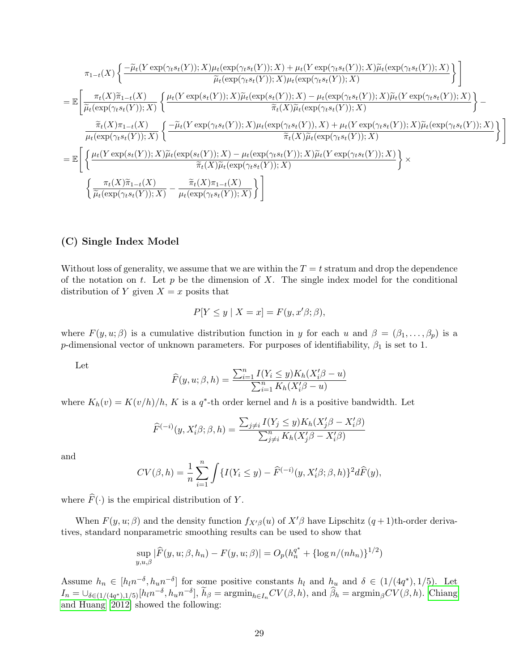$$
\pi_{1-t}(X)\left\{\frac{-\widetilde{\mu}_{t}(Y\exp(\gamma_{t}s_{t}(Y));X)\mu_{t}(\exp(\gamma_{t}s_{t}(Y));X)+\mu_{t}(Y\exp(\gamma_{t}s_{t}(Y));X)\widetilde{\mu}_{t}(\exp(\gamma_{t}s_{t}(Y));X)}{\widetilde{\mu}_{t}(\exp(\gamma_{t}s_{t}(Y));X)\mu_{t}(\exp(\gamma_{t}s_{t}(Y));X)}\right\}
$$
\n
$$
=\mathbb{E}\left[\frac{\pi_{t}(X)\widetilde{\pi}_{1-t}(X)}{\widetilde{\mu}_{t}(\exp(\gamma_{t}s_{t}(Y));X)}\left\{\frac{\mu_{t}(Y\exp(s_{t}(Y));X)\widetilde{\mu}_{t}(\exp(s_{t}(Y));X)-\mu_{t}(\exp(\gamma_{t}s_{t}(Y));X)\widetilde{\mu}_{t}(Y\exp(\gamma_{t}s_{t}(Y));X)}{\widetilde{\pi}_{t}(X)\widetilde{\mu}_{t}(\exp(\gamma_{t}s_{t}(Y));X)}\right\}-\frac{\widetilde{\pi}_{t}(X)\pi_{1-t}(X)}{\mu_{t}(\exp(\gamma_{t}s_{t}(Y));X)}\left\{\frac{-\widetilde{\mu}_{t}(Y\exp(\gamma_{t}s_{t}(Y));X)\mu_{t}(\exp(\gamma_{t}s_{t}(Y));X)+\mu_{t}(Y\exp(\gamma_{t}s_{t}(Y));X)\widetilde{\mu}_{t}(\exp(\gamma_{t}s_{t}(Y));X)}{\widetilde{\pi}_{t}(X)\widetilde{\mu}_{t}(\exp(\gamma_{t}s_{t}(Y));X)}\right\}
$$
\n
$$
=\mathbb{E}\left[\left\{\frac{\mu_{t}(Y\exp(s_{t}(Y));X)\widetilde{\mu}_{t}(\exp(s_{t}(Y));X)-\mu_{t}(\exp(\gamma_{t}s_{t}(Y));X)\widetilde{\mu}_{t}(Y\exp(\gamma_{t}s_{t}(Y));X)}{\widetilde{\pi}_{t}(X)\widetilde{\mu}_{t}(\exp(\gamma_{t}s_{t}(Y));X)}\right\}\times\left\{\frac{\pi_{t}(X)\widetilde{\pi}_{1-t}(X)}{\widetilde{\mu}_{t}(\exp(\gamma_{t}s_{t}(Y));X)}-\frac{\widetilde{\pi}_{t}(X)\pi_{1-t}(X)}{\mu_{t}(\exp(\gamma_{t}s_{t}(Y));X)}\right\}\right]
$$

### (C) Single Index Model

Without loss of generality, we assume that we are within the  $T = t$  stratum and drop the dependence of the notation on t. Let  $p$  be the dimension of X. The single index model for the conditional distribution of Y given  $X = x$  posits that

$$
P[Y \le y \mid X = x] = F(y, x'\beta; \beta),
$$

where  $F(y, u; \beta)$  is a cumulative distribution function in y for each u and  $\beta = (\beta_1, \ldots, \beta_p)$  is a p-dimensional vector of unknown parameters. For purposes of identifiability,  $\beta_1$  is set to 1.

Let

$$
\widehat{F}(y, u; \beta, h) = \frac{\sum_{i=1}^{n} I(Y_i \le y) K_h(X_i' \beta - u)}{\sum_{i=1}^{n} K_h(X_i' \beta - u)}
$$

where  $K_h(v) = K(v/h)/h$ , K is a q<sup>\*</sup>-th order kernel and h is a positive bandwidth. Let

$$
\widehat{F}^{(-i)}(y, X_i'\beta; \beta, h) = \frac{\sum_{j \neq i} I(Y_j \leq y) K_h(X_j'\beta - X_i'\beta)}{\sum_{j \neq i}^n K_h(X_j'\beta - X_i'\beta)}
$$

and

$$
CV(\beta, h) = \frac{1}{n} \sum_{i=1}^{n} \int \{ I(Y_i \le y) - \widehat{F}^{(-i)}(y, X_i'\beta; \beta, h) \}^2 d\widehat{F}(y),
$$

where  $\widehat{F}(\cdot)$  is the empirical distribution of Y.

When  $F(y, u; \beta)$  and the density function  $f_{X\beta}(u)$  of  $X'\beta$  have Lipschitz  $(q + 1)$ th-order derivatives, standard nonparametric smoothing results can be used to show that

$$
\sup_{y,u,\beta} |\widehat{F}(y,u;\beta,h_n) - F(y,u;\beta)| = O_p(h_n^{q^*} + {\log n}/{(nh_n)}^{1/2})
$$

Assume  $h_n \in [h_l n^{-\delta}, h_u n^{-\delta}]$  for some positive constants  $h_l$  and  $h_u$  and  $\delta \in (1/(4q^*), 1/5)$ . Let  $I_n = \bigcup_{\delta \in (1/(4q^*),1/5)} [h_l n^{-\delta}, h_u n^{-\delta}], \tilde{h}_{\beta} = \operatorname{argmin}_{h \in I_n} CV(\beta, h), \text{ and } \hat{\beta}_h = \operatorname{argmin}_{\beta} CV(\beta, h).$  [Chiang](#page-21-6) [and Huang \[2012\]](#page-21-6) showed the following: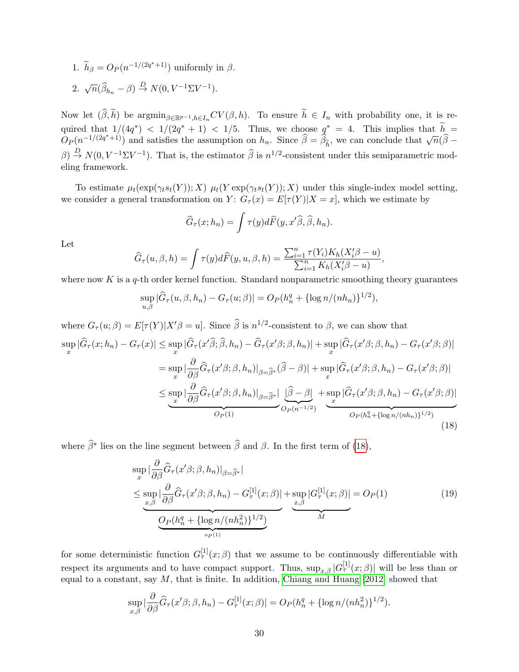1.  $\widetilde{h}_{\beta} = O_P(n^{-1/(2q^*+1)})$  uniformly in  $\beta$ . 2.  $\sqrt{n}(\widehat{\beta}_{h_n} - \beta) \stackrel{D}{\rightarrow} N(0, V^{-1}\Sigma V^{-1}).$ 

Now let 
$$
(\widehat{\beta}, \widetilde{h})
$$
 be  $\operatorname{argmin}_{\beta \in \mathbb{R}^{p-1}, h \in I_n} CV(\beta, h)$ . To ensure  $\widetilde{h} \in I_n$  with probability one, it is required that  $1/(4q^*) < 1/(2q^* + 1) < 1/5$ . Thus, we choose  $q^* = 4$ . This implies that  $\widetilde{h} = O_P(n^{-1/(2q^*+1)})$  and satisfies the assumption on  $h_n$ . Since  $\widehat{\beta} = \widehat{\beta}_{\widetilde{h}}$ , we can conclude that  $\sqrt{n}(\widehat{\beta} - \beta) \stackrel{D}{\rightarrow} N(0, V^{-1} \Sigma V^{-1})$ . That is, the estimator  $\widehat{\beta}$  is  $n^{1/2}$ -consistent under this semiparametric modeling framework.

To estimate  $\mu_t(\exp(\gamma_t s_t(Y)); X) \mu_t(Y \exp(\gamma_t s_t(Y)); X)$  under this single-index model setting, we consider a general transformation on  $Y: G_{\tau}(x) = E[\tau(Y)|X=x]$ , which we estimate by

$$
\widehat{G}_{\tau}(x; h_n) = \int \tau(y) d\widehat{F}(y, x'\widehat{\beta}, \widehat{\beta}, h_n).
$$

Let

$$
\widehat{G}_{\tau}(u,\beta,h) = \int \tau(y)d\widehat{F}(y,u,\beta,h) = \frac{\sum_{i=1}^n \tau(Y_i)K_h(X_i'\beta - u)}{\sum_{i=1}^n K_h(X_i'\beta - u)},
$$

where now  $K$  is a  $q$ -th order kernel function. Standard nonparametric smoothing theory guarantees

$$
\sup_{u,\beta} |\widehat{G}_{\tau}(u,\beta,h_n) - G_{\tau}(u;\beta)| = O_P(h_n^q + {\log n/(nh_n)}^{1/2}),
$$

where  $G_{\tau}(u;\beta) = E[\tau(Y)|X'\beta = u]$ . Since  $\widehat{\beta}$  is  $n^{1/2}$ -consistent to  $\beta$ , we can show that

$$
\sup_{x} |\widehat{G}_{\tau}(x; h_{n}) - G_{\tau}(x)| \leq \sup_{x} |\widehat{G}_{\tau}(x'\widehat{\beta}; \widehat{\beta}, h_{n}) - \widehat{G}_{\tau}(x'\beta; \beta, h_{n})| + \sup_{x} |\widehat{G}_{\tau}(x'\beta; \beta, h_{n}) - G_{\tau}(x'\beta; \beta)|
$$
  
\n
$$
= \sup_{x} |\frac{\partial}{\partial \beta} \widehat{G}_{\tau}(x'\beta; \beta, h_{n})|_{\beta = \widehat{\beta}^{*}} (\widehat{\beta} - \beta)| + \sup_{x} |\widehat{G}_{\tau}(x'\beta; \beta, h_{n}) - G_{\tau}(x'\beta; \beta)|
$$
  
\n
$$
\leq \sup_{x} |\frac{\partial}{\partial \beta} \widehat{G}_{\tau}(x'\beta; \beta, h_{n})|_{\beta = \widehat{\beta}^{*}} |\frac{\widehat{\beta} - \beta}{\widehat{\beta} - \beta}| + \sup_{x} |\widehat{G}_{\tau}(x'\beta; \beta, h_{n}) - G_{\tau}(x'\beta; \beta)|
$$
  
\n
$$
O_{P}(1)
$$
  
\n
$$
\xrightarrow{O_{P}(h_{n}^{q} + {\log n}/{(nh_{n})}^{1/2})}
$$
\n(18)

where  $\widehat{\beta}^*$  lies on the line segment between  $\widehat{\beta}$  and  $\beta$ . In the first term of [\(18\)](#page-29-0),

<span id="page-29-0"></span>
$$
\sup_{x} |\frac{\partial}{\partial \beta} \widehat{G}_{\tau}(x' \beta; \beta, h_n)|_{\beta = \widehat{\beta}^*}|
$$
\n
$$
\leq \sup_{x, \beta} |\frac{\partial}{\partial \beta} \widehat{G}_{\tau}(x' \beta; \beta, h_n) - G_{\tau}^{[1]}(x; \beta)| + \sup_{x, \beta} |G_{\tau}^{[1]}(x; \beta)| = O_P(1)
$$
\n
$$
\underbrace{O_P(h_n^q + \{\log n/(nh_n^2)\})^{1/2})}_{\text{op}(1)}
$$
\n
$$
(19)
$$

for some deterministic function  $G_{\tau}^{[1]}(x;\beta)$  that we assume to be continuously differentiable with respect its arguments and to have compact support. Thus,  $\sup_{x,\beta} |G_{\tau}^{[1]}(x;\beta)|$  will be less than or equal to a constant, say  $M$ , that is finite. In addition, [Chiang and Huang \[2012\]](#page-21-6) showed that

$$
\sup_{x,\beta} |\frac{\partial}{\partial \beta} \hat{G}_{\tau}(x'\beta; \beta, h_n) - G_{\tau}^{[1]}(x; \beta)| = O_P(h_n^q + {\log n}/{(nh_n^2)}^{1/2}).
$$